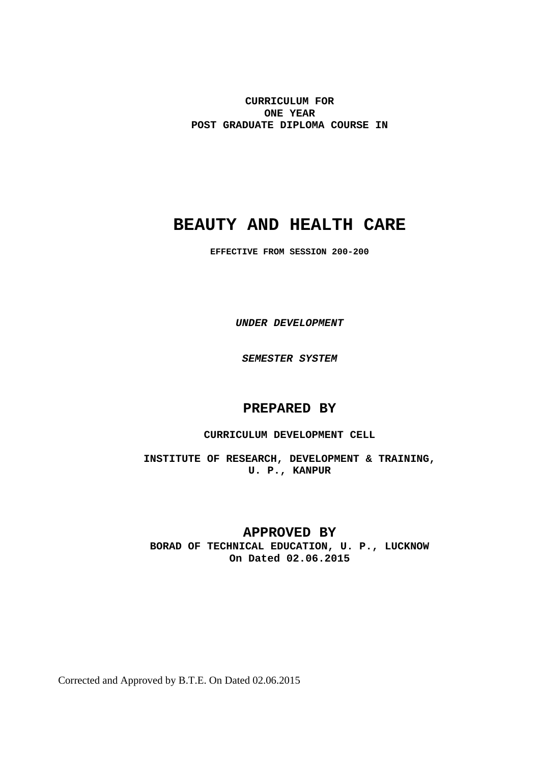**CURRICULUM FOR ONE YEAR POST GRADUATE DIPLOMA COURSE IN**

# **BEAUTY AND HEALTH CARE**

**EFFECTIVE FROM SESSION 200-200** 

*UNDER DEVELOPMENT* 

*SEMESTER SYSTEM* 

# **PREPARED BY**

### **CURRICULUM DEVELOPMENT CELL**

**INSTITUTE OF RESEARCH, DEVELOPMENT & TRAINING, U. P., KANPUR**

# **APPROVED BY**

**BORAD OF TECHNICAL EDUCATION, U. P., LUCKNOW On Dated 02.06.2015** 

Corrected and Approved by B.T.E. On Dated 02.06.2015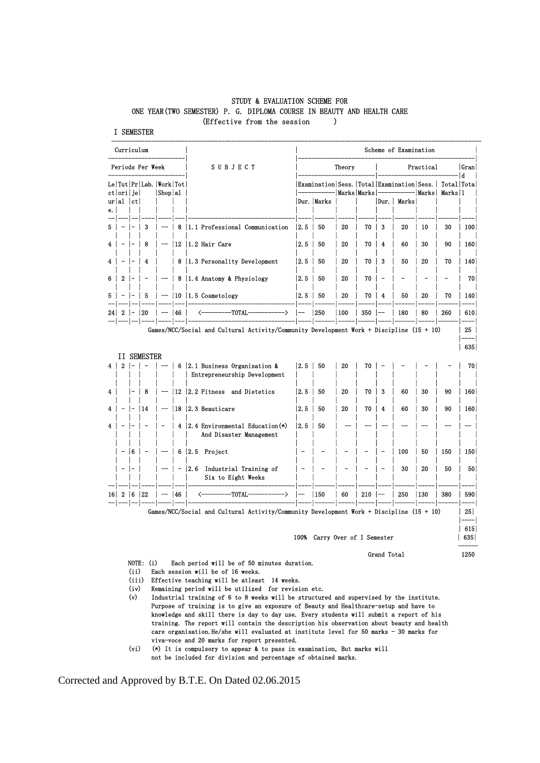#### STUDY & EVALUATION SCHEME FOR ONE YEAR(TWO SEMESTER) P. G. DIPLOMA COURSE IN BEAUTY AND HEALTH CARE (Effective from the session )

I SEMESTER

| Periods Per Week        |                           |    |                    |                                   | <b>SUBJECT</b>               | Theory<br>Practical                                                                        |       |                                                 |                          |             | Gran                     |             |              |                          |                 |
|-------------------------|---------------------------|----|--------------------|-----------------------------------|------------------------------|--------------------------------------------------------------------------------------------|-------|-------------------------------------------------|--------------------------|-------------|--------------------------|-------------|--------------|--------------------------|-----------------|
|                         |                           |    |                    | Le   Tut   Pr   Lab.   Work   Tot |                              |                                                                                            |       | Examination Sess.   Total   Examination   Sess. |                          |             |                          |             |              | Total Tota<br>Marks 1    | ١d              |
| е.                      | ct  ori   je <br>ur al ct |    |                    | Shop al                           |                              |                                                                                            |       | Dur.   Marks                                    |                          | Marks Marks |                          | Dur.  Marks | <b>Marks</b> |                          |                 |
| 5                       |                           |    | 3                  |                                   | 8                            | 1.1 Professional Communication                                                             | 12.5  | 50                                              | 20                       | 70 l        | 3                        | 20          | 10           | 30                       | 100             |
| $\overline{\mathbf{4}}$ |                           |    | 8                  | ——                                |                              | $12$   $1.2$ Hair Care                                                                     | 12.51 | 50                                              | 20                       | 70          | $\overline{4}$           | 60          | 30           | 90                       | 160             |
| 4                       |                           |    | 4                  |                                   |                              | 8   1.3 Personality Development                                                            | 12.5  | 50                                              | 20                       | 70 I        | 3                        | 50          | 20           | 70                       | 140             |
| 6.                      | $\boldsymbol{2}$          |    |                    |                                   | 8                            | 1.4 Anatomy & Physiology                                                                   | 2.5   | 50                                              | 20                       | 70          | $\qquad \qquad -$        |             |              | $\overline{\phantom{0}}$ |                 |
| 5.                      |                           |    | 5                  |                                   |                              | $-$ 10 1.5 Cosmetology                                                                     | 2.5   | 50                                              | 20                       | 70 l        | -4                       | 50          | 20           | 70                       | 140             |
| 24                      | 2                         |    | 20                 |                                   | <b>146</b>                   | $-$ TOTAL $-$<br>-><br><–                                                                  |       | 250                                             | 100                      | $350$       | ——                       | 180         | 80           | 260                      | 610             |
|                         |                           |    |                    |                                   |                              | Games/NCC/Social and Cultural Activity/Community Development Work + Discipline (15 + 10)   |       |                                                 |                          |             |                          |             |              |                          | 25              |
|                         |                           |    | <b>II SEMESTER</b> |                                   |                              |                                                                                            |       |                                                 |                          |             |                          |             |              |                          | 635             |
| 4 <sup>1</sup>          | $\boldsymbol{2}$          |    |                    |                                   |                              | 6   2.1 Business Organisation &<br>Entrepreneurship Development                            | 2.5   | 50                                              | 20                       | 70          |                          |             |              |                          |                 |
| 4                       |                           |    | 8                  | $-\!$                             | $ 12\rangle$                 | 2.2 Fitness and Dietetics                                                                  | 2.5   | 50                                              | 20                       | 70 l        | $\overline{\mathbf{3}}$  | 60          | 30           | 90                       | 160             |
| 4                       |                           |    | 14                 |                                   |                              | $-$ 18 2.3 Beauticare                                                                      | 2.5   | 50                                              | 20                       | 70 l        | $\overline{4}$           | 60          | 30           | 90                       | 160             |
| 4                       |                           |    |                    |                                   |                              | 4   2.4 Environmental Education $(*)$<br>And Disaster Management                           | 2.5   | 50                                              |                          |             |                          |             |              |                          |                 |
|                         | $\overline{\phantom{a}}$  | 16 | $\qquad \qquad$    | --                                |                              | $6 \mid 2.5$ Project                                                                       |       | $\overline{\phantom{0}}$                        | $\overline{\phantom{0}}$ |             | $\overline{\phantom{0}}$ | 100         | 50           | 150                      | 150             |
|                         |                           |    |                    |                                   | $\qquad \qquad \blacksquare$ | 2.6 Industrial Training of<br>Six to Eight Weeks                                           |       |                                                 | $\overline{\phantom{0}}$ |             |                          | 30          | 20           | 50                       |                 |
|                         | $16$   2   6   22         |    |                    |                                   | 46                           | --------TOTAL-<br>(一<br>->                                                                 |       | 150                                             | 60                       | 210         |                          | 250         | 130          | 380                      | 590             |
|                         |                           |    |                    |                                   |                              | Games/NCC/Social and Cultural Activity/Community Development Work + Discipline $(15 + 10)$ |       |                                                 |                          |             |                          |             |              |                          | 25 <sub>1</sub> |
|                         |                           |    |                    |                                   |                              |                                                                                            |       |                                                 |                          |             |                          |             |              |                          |                 |

100% Carry Over of I Semester | 635|

Grand Total 1250

- NOTE: (i) Each period will be of 50 minutes duration.
- (ii) Each session will be of 16 weeks.
- (iii) Effective teaching will be atleast 14 weeks.
	- (iv) Remaining period will be utilized for revision etc.
	- (v) Industrial training of 6 to 8 weeks will be structured and supervised by the institute. Purpose of training is to give an exposure of Beauty and Healthcare-setup and have to knowledge and skill there is day to day use. Every students will submit a report of his training. The report will contain the description his observation about beauty and health care organisation. He/she will evaluated at institute level for 50 marks - 30 marks for viva-voce and 20 marks for report presented.
	- (vi) (\*) It is compulsory to appear & to pass in examination, But marks will not be included for division and percentage of obtained marks.

------

Corrected and Approved by B.T.E. On Dated 02.06.2015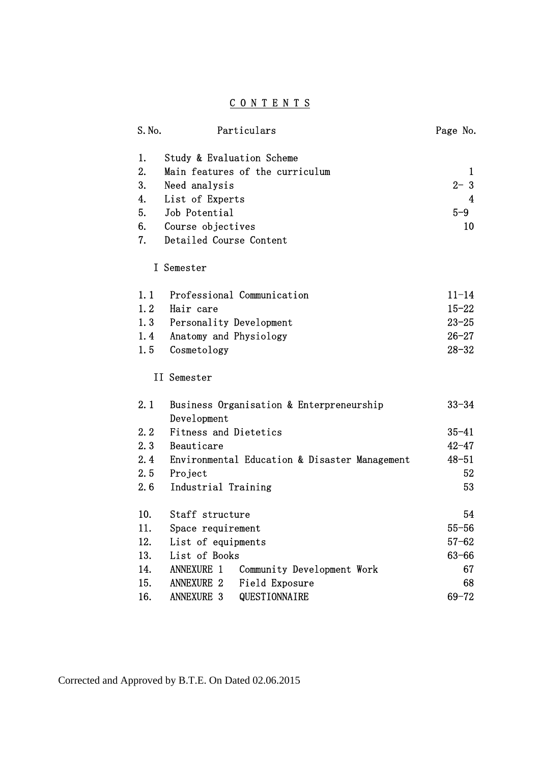# C O N T E N T S

|    | S. No. | Particulars                                             | Page No.  |
|----|--------|---------------------------------------------------------|-----------|
| 1. |        | Study & Evaluation Scheme                               |           |
| 2. |        | Main features of the curriculum                         | 1         |
| 3. |        | Need analysis                                           | $2 - 3$   |
| 4. |        | List of Experts                                         | 4         |
| 5. |        | Job Potential                                           | $5-9$     |
| 6. |        | Course objectives                                       | 10        |
| 7. |        | Detailed Course Content                                 |           |
|    |        | I Semester                                              |           |
|    | 1.1    | Professional Communication                              | $11 - 14$ |
|    | 1.2    | Hair care                                               | $15 - 22$ |
|    | 1.3    | Personality Development                                 | $23 - 25$ |
|    | 1.4    | Anatomy and Physiology                                  | $26 - 27$ |
|    | 1.5    | Cosmetology                                             | $28 - 32$ |
|    |        | II Semester                                             |           |
|    | 2.1    | Business Organisation & Enterpreneurship<br>Development | $33 - 34$ |
|    | 2, 2   | <b>Fitness and Dietetics</b>                            | $35 - 41$ |
|    | 2.3    | Beauticare                                              | $42 - 47$ |
|    | 2.4    | Environmental Education & Disaster Management           | $48 - 51$ |
|    | 2.5    | Project                                                 | 52        |
|    | 2.6    | Industrial Training                                     | 53        |
|    | 10.    | Staff structure                                         | 54        |
|    | 11.    | Space requirement                                       | $55 - 56$ |
|    | 12.    | List of equipments                                      | $57 - 62$ |
|    | 13.    | List of Books                                           | $63 - 66$ |
|    | 14.    | <b>ANNEXURE 1</b><br>Community Development Work         | 67        |
|    | 15.    | <b>ANNEXURE 2</b><br>Field Exposure                     | 68        |
|    | 16.    | <b>ANNEXURE 3</b><br>QUESTIONNAIRE                      | $69 - 72$ |

Corrected and Approved by B.T.E. On Dated 02.06.2015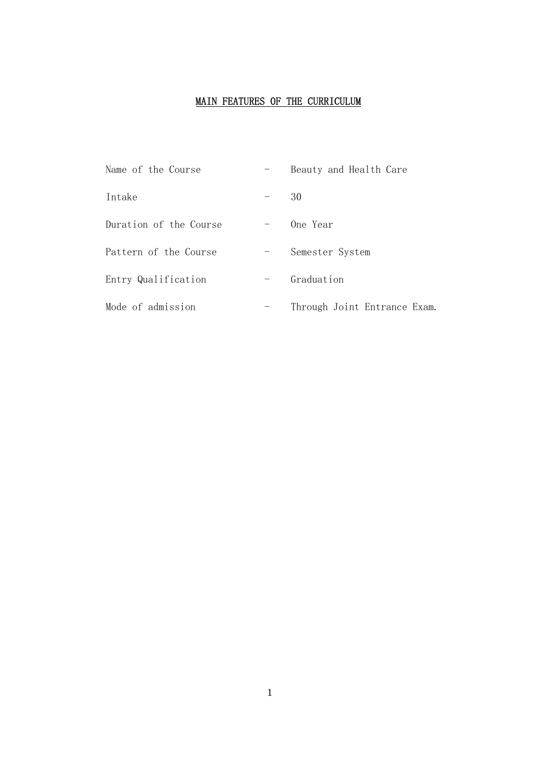# MAIN FEATURES OF THE CURRICULUM

| Name of the Course     |                          | Beauty and Health Care       |
|------------------------|--------------------------|------------------------------|
| Intake                 |                          | 30                           |
| Duration of the Course | $\overline{\phantom{m}}$ | One Year                     |
| Pattern of the Course  | $\overline{\phantom{m}}$ | Semester System              |
| Entry Qualification    |                          | Graduation                   |
| Mode of admission      |                          | Through Joint Entrance Exam. |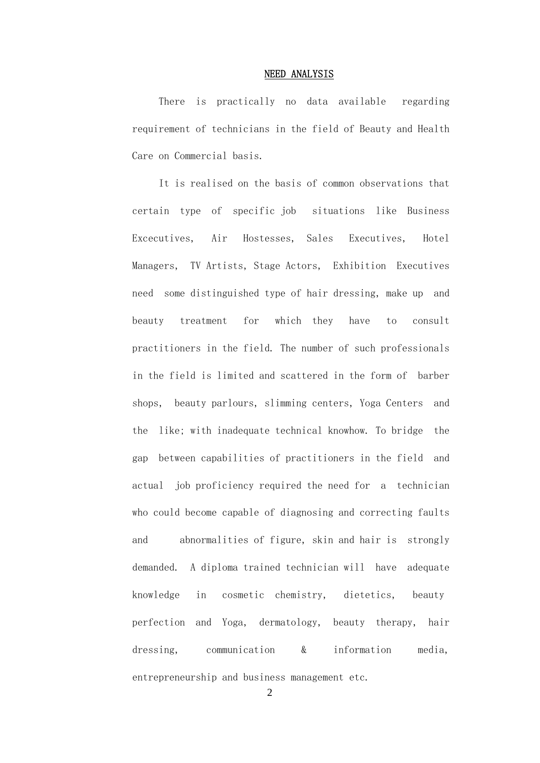#### NEED ANALYSIS

 There is practically no data available regarding requirement of technicians in the field of Beauty and Health Care on Commercial basis.

 It is realised on the basis of common observations that certain type of specific job situations like Business Excecutives, Air Hostesses, Sales Executives, Hotel Managers, TV Artists, Stage Actors, Exhibition Executives need some distinguished type of hair dressing, make up and beauty treatment for which they have to consult practitioners in the field. The number of such professionals in the field is limited and scattered in the form of barber shops, beauty parlours, slimming centers, Yoga Centers and the like; with inadequate technical knowhow. To bridge the gap between capabilities of practitioners in the field and actual job proficiency required the need for a technician who could become capable of diagnosing and correcting faults and abnormalities of figure, skin and hair is strongly demanded. A diploma trained technician will have adequate knowledge in cosmetic chemistry, dietetics, beauty perfection and Yoga, dermatology, beauty therapy, hair dressing, communication & information media, entrepreneurship and business management etc.

2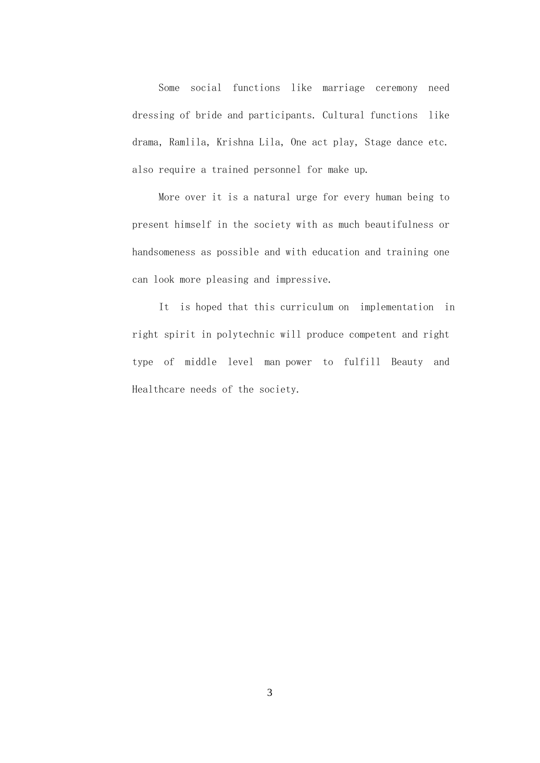Some social functions like marriage ceremony need dressing of bride and participants. Cultural functions like drama, Ramlila, Krishna Lila, One act play, Stage dance etc. also require a trained personnel for make up.

 More over it is a natural urge for every human being to present himself in the society with as much beautifulness or handsomeness as possible and with education and training one can look more pleasing and impressive.

 It is hoped that this curriculum on implementation in right spirit in polytechnic will produce competent and right type of middle level man power to fulfill Beauty and Healthcare needs of the society.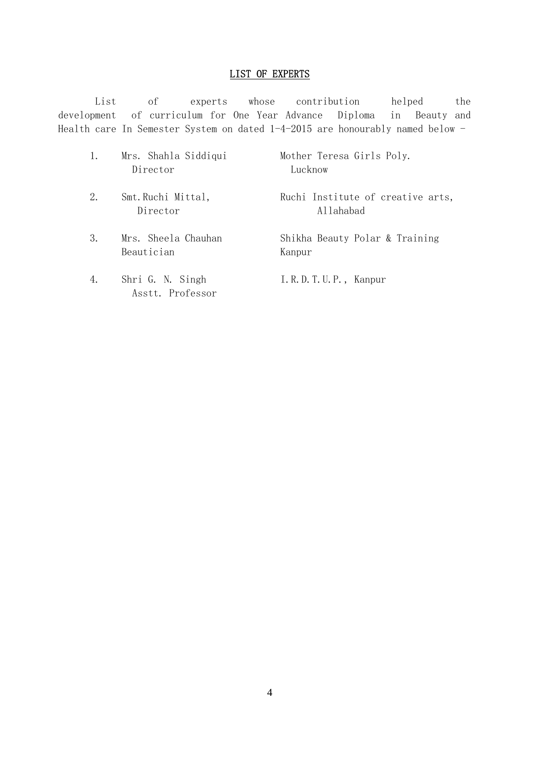# LIST OF EXPERTS

 List of experts whose contribution helped the development of curriculum for One Year Advance Diploma in Beauty and Health care In Semester System on dated 1-4-2015 are honourably named below -

|    | Mrs. Shahla Siddiqui<br>Director     | Mother Teresa Girls Poly.<br>Lucknow           |
|----|--------------------------------------|------------------------------------------------|
| 2. | Smt. Ruchi Mittal,<br>Director       | Ruchi Institute of creative arts,<br>Allahabad |
| 3. | Mrs. Sheela Chauhan<br>Beautician    | Shikha Beauty Polar & Training<br>Kanpur       |
| 4. | Shri G. N. Singh<br>Asstt. Professor | I.R.D.T.U.P., Kanpur                           |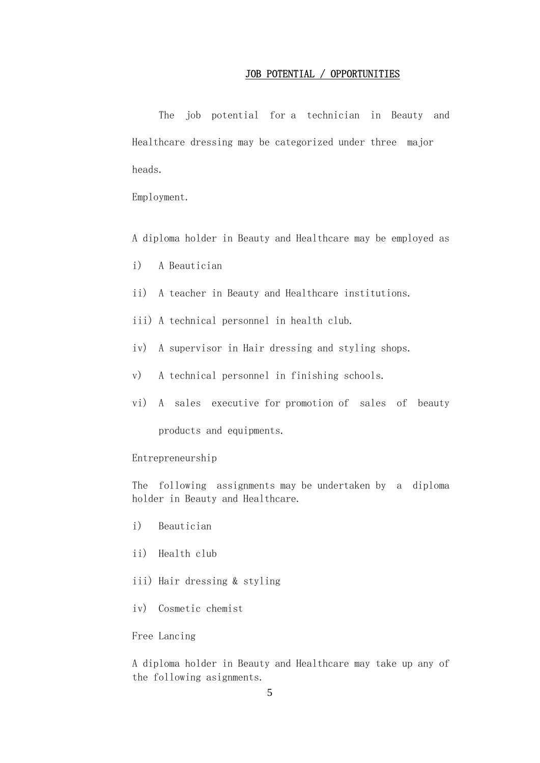#### JOB POTENTIAL / OPPORTUNITIES

The job potential for a technician in Beauty and Healthcare dressing may be categorized under three major heads.

Employment.

A diploma holder in Beauty and Healthcare may be employed as

- i) A Beautician
- ii) A teacher in Beauty and Healthcare institutions.
- iii) A technical personnel in health club.
- iv) A supervisor in Hair dressing and styling shops.
- v) A technical personnel in finishing schools.
- vi) A sales executive for promotion of sales of beauty products and equipments.

#### Entrepreneurship

 The following assignments may be undertaken by a diploma holder in Beauty and Healthcare.

- i) Beautician
- ii) Health club
- iii) Hair dressing & styling
- iv) Cosmetic chemist

#### Free Lancing

 A diploma holder in Beauty and Healthcare may take up any of the following asignments.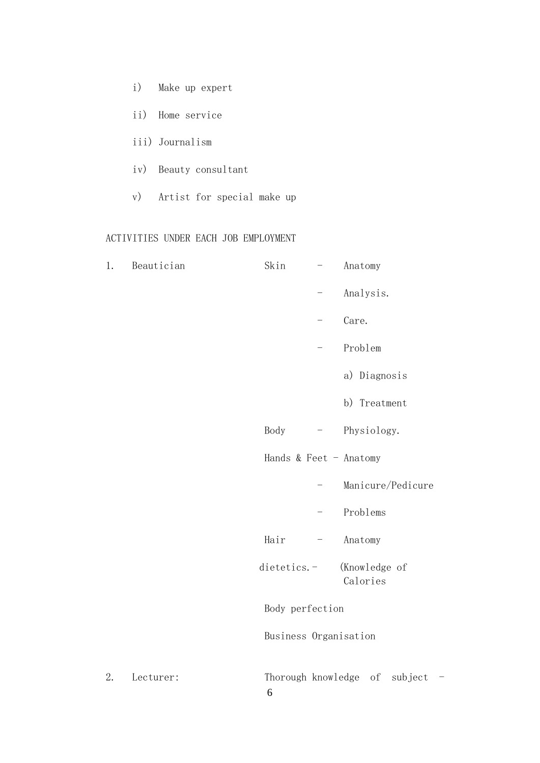- i) Make up expert
- ii) Home service
- iii) Journalism
- iv) Beauty consultant
- v) Artist for special make up

# ACTIVITIES UNDER EACH JOB EMPLOYMENT

| 1. | Beautician | Skin                  | $\qquad \qquad -$        | Anatomy                                                      |
|----|------------|-----------------------|--------------------------|--------------------------------------------------------------|
|    |            |                       |                          | Analysis.                                                    |
|    |            |                       |                          | Care.                                                        |
|    |            |                       | —                        | Problem                                                      |
|    |            |                       |                          | a) Diagnosis                                                 |
|    |            |                       |                          | b) Treatment                                                 |
|    |            | Body                  | $\equiv$                 | Physiology.                                                  |
|    |            |                       |                          | Hands & Feet - Anatomy                                       |
|    |            |                       |                          | Manicure/Pedicure                                            |
|    |            |                       | $\qquad \qquad -$        | Problems                                                     |
|    |            | Hair                  | $\overline{\phantom{0}}$ | Anatomy                                                      |
|    |            | dietetics.-           |                          | (Knowledge of<br>Calories                                    |
|    |            | Body perfection       |                          |                                                              |
|    |            | Business Organisation |                          |                                                              |
| 2. | Lecturer:  | 6                     |                          | Thorough knowledge of<br>subject<br>$\overline{\phantom{0}}$ |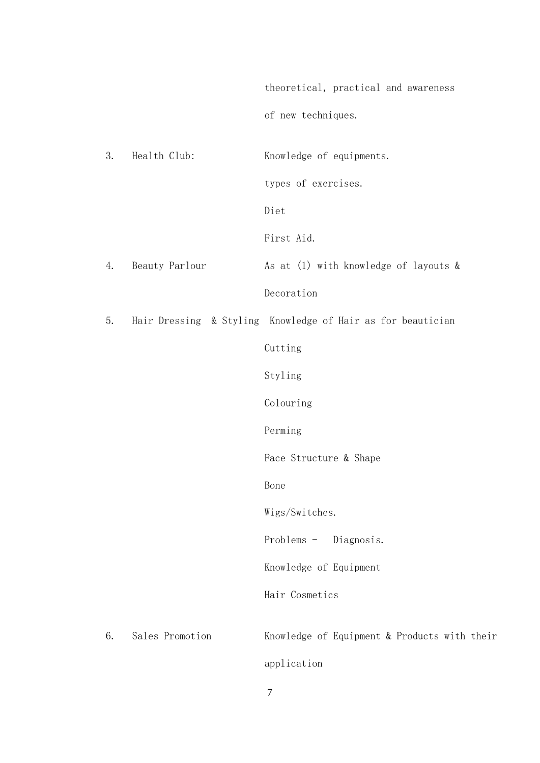theoretical, practical and awareness of new techniques.

 3. Health Club: Knowledge of equipments. types of exercises. Diet First Aid. 4. Beauty Parlour 4. As at (1) with knowledge of layouts & Decoration 5. Hair Dressing & Styling Knowledge of Hair as for beautician Cutting Styling Colouring Perming Face Structure & Shape **Bone** Bone Wigs/Switches. Problems - Diagnosis. Knowledge of Equipment Hair Cosmetics 6. Sales Promotion Knowledge of Equipment & Products with their application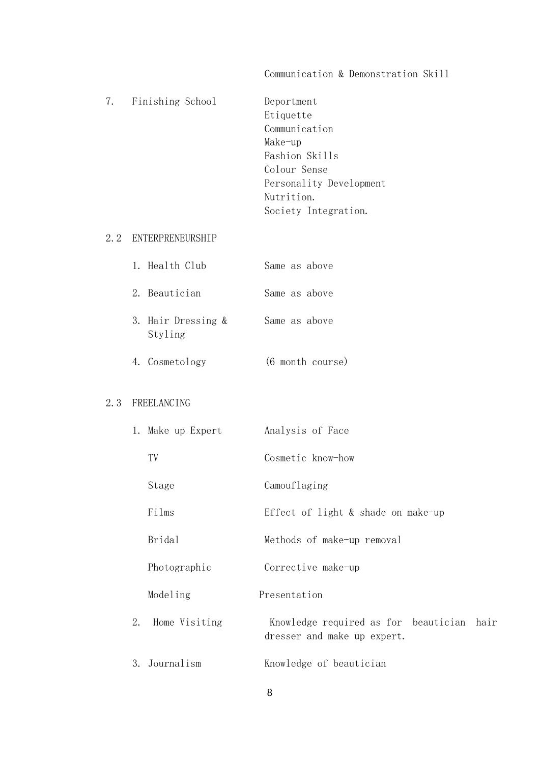|  | 7. Finishing School | Deportment<br>Etiquette<br>Communication<br>Make-up<br>Fashion Skills<br>Colour Sense<br>Personality Development<br>Nutrition.<br>Society Integration. |
|--|---------------------|--------------------------------------------------------------------------------------------------------------------------------------------------------|
|  |                     |                                                                                                                                                        |

# Communication & Demonstration Skill

# 2.2 ENTERPRENEURSHIP

|  | 1. Health Club                |  | Same as above |
|--|-------------------------------|--|---------------|
|  | 2. Beautician                 |  | Same as above |
|  | 3. Hair Dressing &<br>Styling |  | Same as above |

# 4. Cosmetology (6 month course)

# 2.3 FREELANCING

|    | 1. Make up Expert | Analysis of Face                                                         |
|----|-------------------|--------------------------------------------------------------------------|
|    | TV                | Cosmetic know-how                                                        |
|    | Stage             | Camouflaging                                                             |
|    | Films             | Effect of light $\&$ shade on make-up                                    |
|    | Bridal            | Methods of make-up removal                                               |
|    | Photographic      | Corrective make-up                                                       |
|    | Modeling          | Presentation                                                             |
| 2. | Home Visiting     | Knowledge required as for beautician hair<br>dresser and make up expert. |
| 3. | Journalism        | Knowledge of beautician                                                  |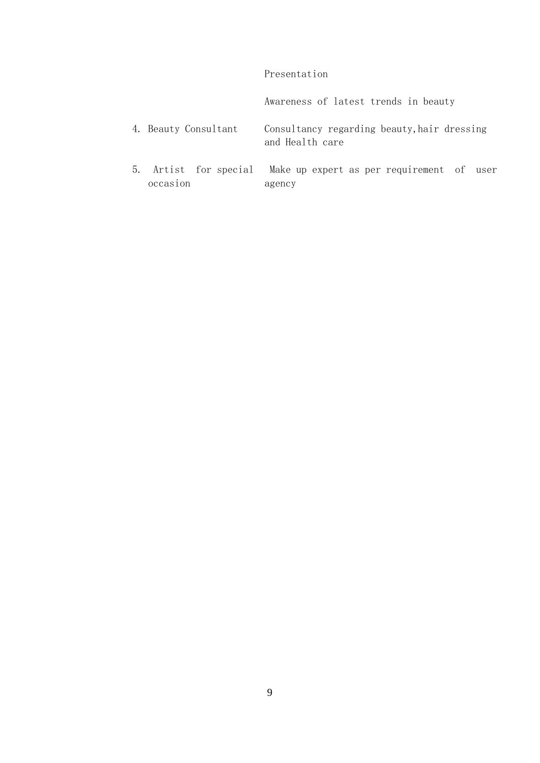# Presentation

Awareness of latest trends in beauty

- 4. Beauty Consultant Consultancy regarding beauty,hair dressing and Health care
- 5. Artist for special Make up expert as per requirement of user occasion agency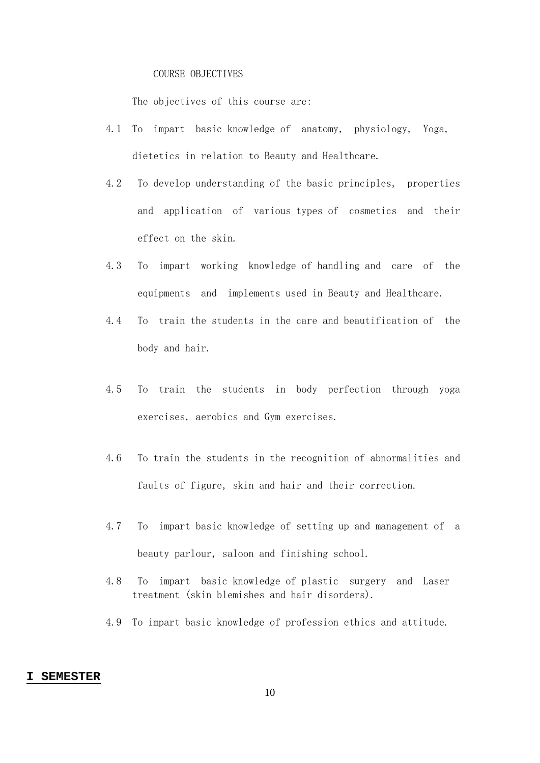#### COURSE OBJECTIVES

The objectives of this course are:

- 4.1 To impart basic knowledge of anatomy, physiology, Yoga, dietetics in relation to Beauty and Healthcare.
- 4.2 To develop understanding of the basic principles, properties and application of various types of cosmetics and their effect on the skin.
- 4.3 To impart working knowledge of handling and care of the equipments and implements used in Beauty and Healthcare.
- 4.4 To train the students in the care and beautification of the body and hair.
- 4.5 To train the students in body perfection through yoga exercises, aerobics and Gym exercises.
- 4.6 To train the students in the recognition of abnormalities and faults of figure, skin and hair and their correction.
- 4.7 To impart basic knowledge of setting up and management of a beauty parlour, saloon and finishing school.
- 4.8 To impart basic knowledge of plastic surgery and Laser treatment (skin blemishes and hair disorders).
- 4.9 To impart basic knowledge of profession ethics and attitude.

#### **I SEMESTER**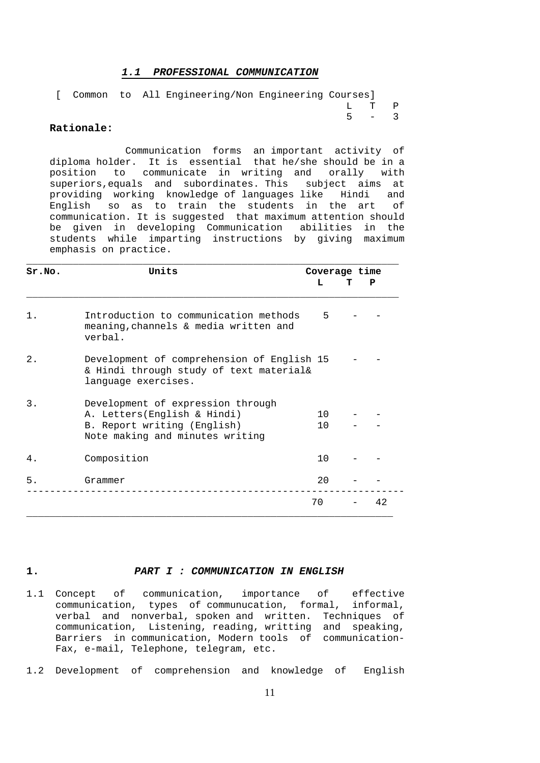#### *1.1 PROFESSIONAL COMMUNICATION*

|  |  | [ Common to All Engineering/Non Engineering Courses] |  |         |  |
|--|--|------------------------------------------------------|--|---------|--|
|  |  |                                                      |  | T. T. P |  |
|  |  |                                                      |  | $5 - 3$ |  |
|  |  |                                                      |  |         |  |

#### **Rationale:**

 Communication forms an important activity of diploma holder. It is essential that he/she should be in a position to communicate in writing and orally with superiors,equals and subordinates. This subject aims at providing working knowledge of languages like Hindi and English so as to train the students in the art of communication. It is suggested that maximum attention should be given in developing Communication abilities in the students while imparting instructions by giving maximum emphasis on practice.

| Sr.NO.        | Units                                                                                                                              |                        | Coverage time |  |
|---------------|------------------------------------------------------------------------------------------------------------------------------------|------------------------|---------------|--|
|               |                                                                                                                                    | L                      | P             |  |
| $\mathbf 1$ . | Introduction to communication methods<br>meaning, channels & media written and<br>verbal.                                          | 5                      |               |  |
| $2$ .         | Development of comprehension of English 15<br>& Hindi through study of text material&<br>language exercises.                       |                        |               |  |
| 3.            | Development of expression through<br>A. Letters(English & Hindi)<br>B. Report writing (English)<br>Note making and minutes writing | 1 O<br>10 <sup>1</sup> |               |  |
| 4.            | Composition                                                                                                                        | 10                     |               |  |
| 5.            | Grammer                                                                                                                            | 20                     |               |  |
|               |                                                                                                                                    | 70                     | 42            |  |

#### **1.** *PART I : COMMUNICATION IN ENGLISH*

- 1.1 Concept of communication, importance of effective communication, types of communucation, formal, informal, verbal and nonverbal, spoken and written. Techniques of communication, Listening, reading, writting and speaking, Barriers in communication, Modern tools of communication- Fax, e-mail, Telephone, telegram, etc.
- 1.2 Development of comprehension and knowledge of English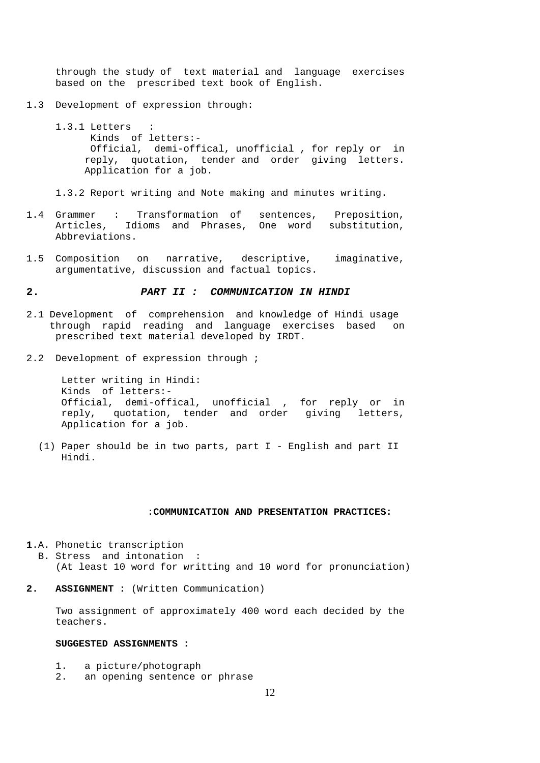through the study of text material and language exercises based on the prescribed text book of English.

- 1.3 Development of expression through:
	- 1.3.1 Letters : Kinds of letters:- Official, demi-offical, unofficial , for reply or in reply, quotation, tender and order giving letters. Application for a job.

1.3.2 Report writing and Note making and minutes writing.

- 1.4 Grammer : Transformation of sentences, Preposition, Articles, Idioms and Phrases, One word substitution, Abbreviations.
- 1.5 Composition on narrative, descriptive, imaginative, argumentative, discussion and factual topics.

#### **2.** *PART II : COMMUNICATION IN HINDI*

- 2.1 Development of comprehension and knowledge of Hindi usage through rapid reading and language exercises based on prescribed text material developed by IRDT.
- 2.2 Development of expression through ;

 Letter writing in Hindi: Kinds of letters:- Official, demi-offical, unofficial , for reply or in reply, quotation, tender and order giving letters, Application for a job.

 (1) Paper should be in two parts, part I - English and part II Hindi.

#### :**COMMUNICATION AND PRESENTATION PRACTICES:**

- **1**.A. Phonetic transcription
	- B. Stress and intonation : (At least 10 word for writting and 10 word for pronunciation)
- **2. ASSIGNMENT :** (Written Communication)

 Two assignment of approximately 400 word each decided by the teachers.

#### **SUGGESTED ASSIGNMENTS :**

- 1. a picture/photograph
- 2. an opening sentence or phrase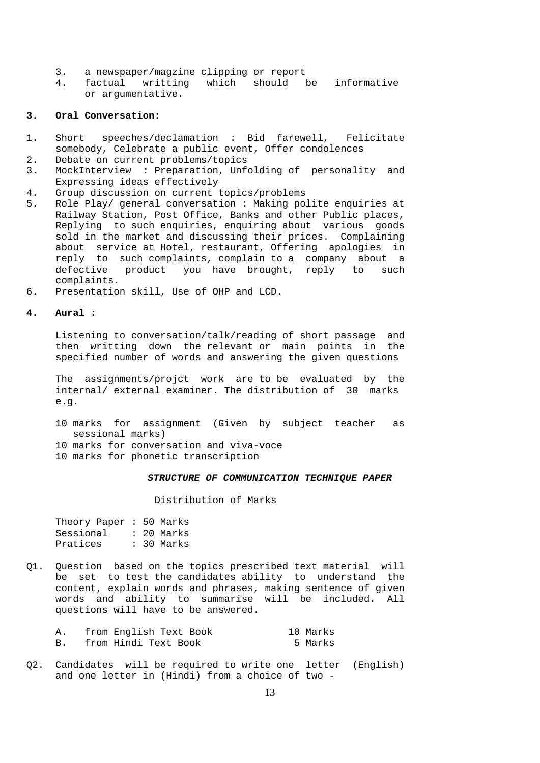- 3. a newspaper/magzine clipping or report
- 4. factual writting which should be informative or argumentative.

#### **3. Oral Conversation:**

- 1. Short speeches/declamation : Bid farewell, Felicitate somebody, Celebrate a public event, Offer condolences
- 2. Debate on current problems/topics
- 3. MockInterview : Preparation, Unfolding of personality and Expressing ideas effectively
- 4. Group discussion on current topics/problems<br>5. Role Play/ general conversation: Making po
- 5. Role Play/ general conversation : Making polite enquiries at Railway Station, Post Office, Banks and other Public places, Replying to such enquiries, enquiring about various goods sold in the market and discussing their prices. Complaining about service at Hotel, restaurant, Offering apologies in reply to such complaints, complain to a company about a defective product you have brought, reply to such complaints.
- 6. Presentation skill, Use of OHP and LCD.

#### **4. Aural :**

 Listening to conversation/talk/reading of short passage and then writting down the relevant or main points in the specified number of words and answering the given questions

 The assignments/projct work are to be evaluated by the internal/ external examiner. The distribution of 30 marks e.g.

- 10 marks for assignment (Given by subject teacher as sessional marks)
- 10 marks for conversation and viva-voce
- 10 marks for phonetic transcription

#### *STRUCTURE OF COMMUNICATION TECHNIQUE PAPER*

Distribution of Marks

| Theory Paper $: 50$ Marks |  |            |
|---------------------------|--|------------|
| Sessional                 |  | : 20 Marks |
| Pratices                  |  | : 30 Marks |

Q1. Question based on the topics prescribed text material will be set to test the candidates ability to understand the content, explain words and phrases, making sentence of given words and ability to summarise will be included. All questions will have to be answered.

| from English Text Book | 10 Marks |
|------------------------|----------|
| from Hindi Text Book   | 5 Marks  |

Q2. Candidates will be required to write one letter (English) and one letter in (Hindi) from a choice of two -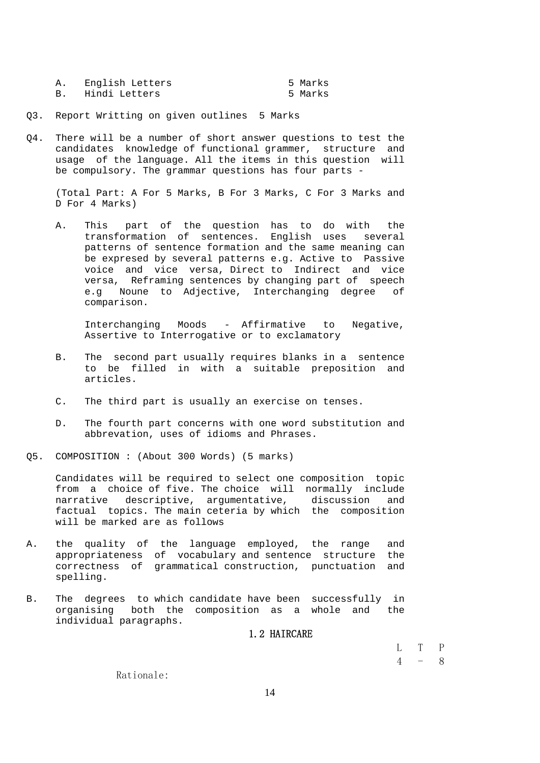| English Letters | 5 Marks |
|-----------------|---------|
| Hindi Letters   | 5 Marks |

Q3. Report Writting on given outlines 5 Marks

Q4. There will be a number of short answer questions to test the candidates knowledge of functional grammer, structure and usage of the language. All the items in this question will be compulsory. The grammar questions has four parts -

 (Total Part: A For 5 Marks, B For 3 Marks, C For 3 Marks and D For 4 Marks)

 A. This part of the question has to do with the transformation of sentences. English uses several patterns of sentence formation and the same meaning can be expresed by several patterns e.g. Active to Passive voice and vice versa, Direct to Indirect and vice versa, Reframing sentences by changing part of speech e.g Noune to Adjective, Interchanging degree of comparison.

 Interchanging Moods - Affirmative to Negative, Assertive to Interrogative or to exclamatory

- B. The second part usually requires blanks in a sentence to be filled in with a suitable preposition and articles.
- C. The third part is usually an exercise on tenses.
- D. The fourth part concerns with one word substitution and abbrevation, uses of idioms and Phrases.
- Q5. COMPOSITION : (About 300 Words) (5 marks)

 Candidates will be required to select one composition topic from a choice of five. The choice will normally include narrative descriptive, argumentative, discussion and factual topics. The main ceteria by which the composition will be marked are as follows

- A. the quality of the language employed, the range and appropriateness of vocabulary and sentence structure the correctness of grammatical construction, punctuation and spelling.
- B. The degrees to which candidate have been successfully in organising both the composition as a whole and the individual paragraphs.

#### 1.2 HAIRCARE

L T P

 $4 - 8$ 

Rationale: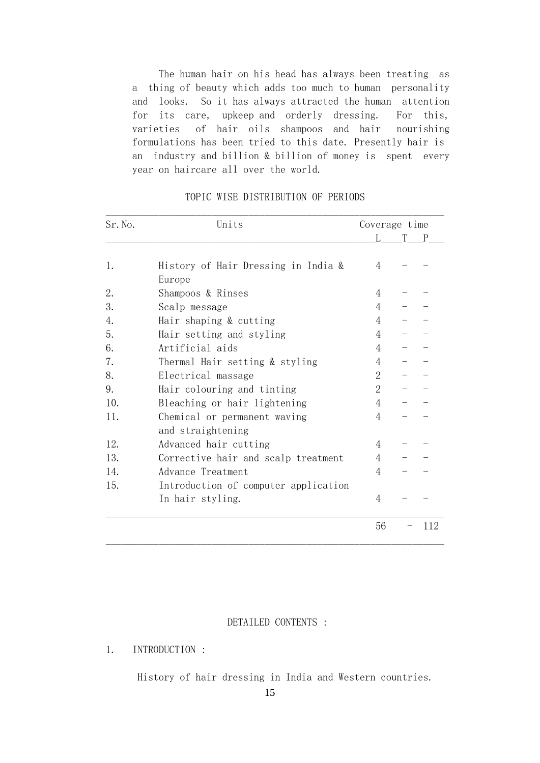The human hair on his head has always been treating as a thing of beauty which adds too much to human personality and looks. So it has always attracted the human attention for its care, upkeep and orderly dressing. For this, varieties of hair oils shampoos and hair nourishing formulations has been tried to this date. Presently hair is an industry and billion & billion of money is spent every year on haircare all over the world.

| Sr. No. | Units                                             | Coverage time  |  |     |
|---------|---------------------------------------------------|----------------|--|-----|
|         |                                                   | L              |  | P   |
| 1.      | History of Hair Dressing in India &<br>Europe     | $\overline{4}$ |  |     |
| 2.      | Shampoos & Rinses                                 | 4              |  |     |
| 3.      | Scalp message                                     | 4              |  |     |
| 4.      | Hair shaping & cutting                            | 4              |  |     |
| 5.      | Hair setting and styling                          | $\overline{4}$ |  |     |
| 6.      | Artificial aids                                   | $\overline{4}$ |  |     |
| 7.      | Thermal Hair setting & styling                    | 4              |  |     |
| 8.      | Electrical massage                                | $\overline{2}$ |  |     |
| 9.      | Hair colouring and tinting                        | $\overline{2}$ |  |     |
| 10.     | Bleaching or hair lightening                      | 4              |  |     |
| 11.     | Chemical or permanent waving<br>and straightening | 4              |  |     |
| 12.     | Advanced hair cutting                             | 4              |  |     |
| 13.     | Corrective hair and scalp treatment               | 4              |  |     |
| 14.     | Advance Treatment                                 | 4              |  |     |
| 15.     | Introduction of computer application              |                |  |     |
|         | In hair styling.                                  | $\overline{4}$ |  |     |
|         |                                                   | 56             |  | 112 |
|         |                                                   |                |  |     |

# TOPIC WISE DISTRIBUTION OF PERIODS

 $\mathcal{L}_\text{max} = \mathcal{L}_\text{max} = \mathcal{L}_\text{max} = \mathcal{L}_\text{max} = \mathcal{L}_\text{max} = \mathcal{L}_\text{max} = \mathcal{L}_\text{max} = \mathcal{L}_\text{max} = \mathcal{L}_\text{max} = \mathcal{L}_\text{max} = \mathcal{L}_\text{max} = \mathcal{L}_\text{max} = \mathcal{L}_\text{max} = \mathcal{L}_\text{max} = \mathcal{L}_\text{max} = \mathcal{L}_\text{max} = \mathcal{L}_\text{max} = \mathcal{L}_\text{max} = \mathcal{$ 

## DETAILED CONTENTS :

# 1. INTRODUCTION :

History of hair dressing in India and Western countries.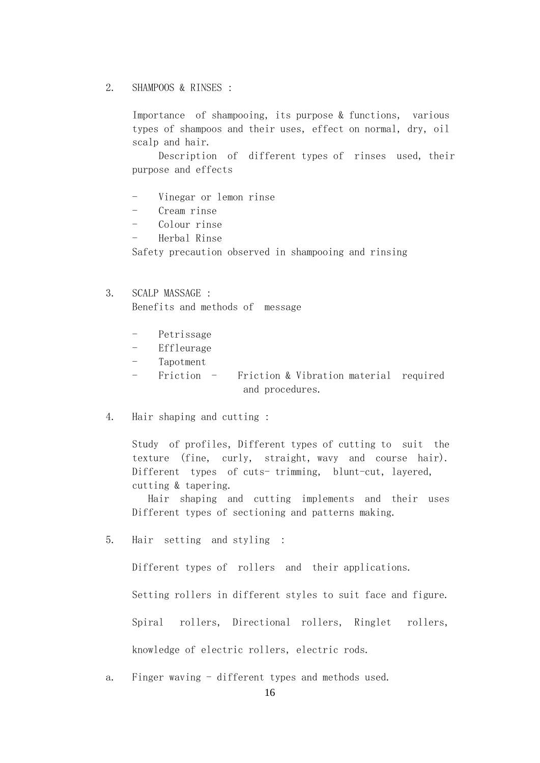# 2. SHAMPOOS & RINSES :

 Importance of shampooing, its purpose & functions, various types of shampoos and their uses, effect on normal, dry, oil scalp and hair.

 Description of different types of rinses used, their purpose and effects

- Vinegar or lemon rinse
- Cream rinse
- Colour rinse
- Herbal Rinse

Safety precaution observed in shampooing and rinsing

# 3. SCALP MASSAGE : Benefits and methods of message

- Petrissage
- Effleurage
- Tapotment
- Friction Friction & Vibration material required and procedures.
- 4. Hair shaping and cutting :

 Study of profiles, Different types of cutting to suit the texture (fine, curly, straight, wavy and course hair). Different types of cuts- trimming, blunt-cut, layered, cutting & tapering.

 Hair shaping and cutting implements and their uses Different types of sectioning and patterns making.

5. Hair setting and styling :

Different types of rollers and their applications.

Setting rollers in different styles to suit face and figure.

Spiral rollers, Directional rollers, Ringlet rollers,

knowledge of electric rollers, electric rods.

a. Finger waving - different types and methods used.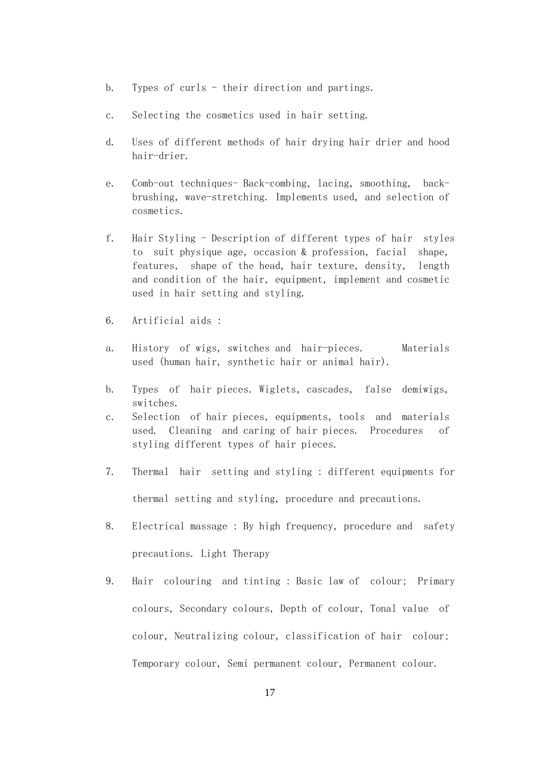- b. Types of curls their direction and partings.
- c. Selecting the cosmetics used in hair setting.
- d. Uses of different methods of hair drying hair drier and hood hair-drier.
- e. Comb-out techniques- Back-combing, lacing, smoothing, back brushing, wave-stretching. Implements used, and selection of cosmetics.
- f. Hair Styling Description of different types of hair styles to suit physique age, occasion & profession, facial shape, features, shape of the head, hair texture, density, length and condition of the hair, equipment, implement and cosmetic used in hair setting and styling.
- 6. Artificial aids :
- a. History of wigs, switches and hair-pieces. Materials used (human hair, synthetic hair or animal hair).
- b. Types of hair pieces. Wiglets, cascades, false demiwigs, switches.
- c. Selection of hair pieces, equipments, tools and materials used. Cleaning and caring of hair pieces. Procedures of styling different types of hair pieces.
- 7. Thermal hair setting and styling : different equipments for thermal setting and styling, procedure and precautions.
- 8. Electrical massage : By high frequency, procedure and safety precautions. Light Therapy
- 9. Hair colouring and tinting : Basic law of colour; Primary colours, Secondary colours, Depth of colour, Tonal value of colour, Neutralizing colour, classification of hair colour; Temporary colour, Semi permanent colour, Permanent colour.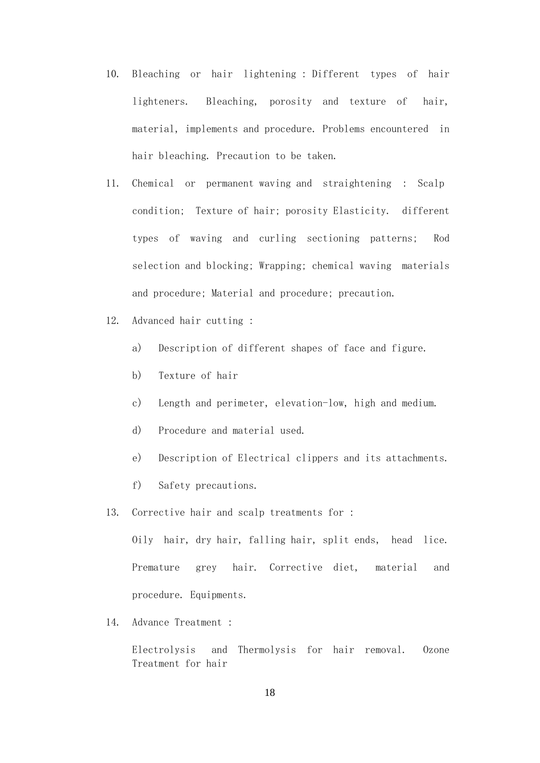- 10. Bleaching or hair lightening : Different types of hair lighteners. Bleaching, porosity and texture of hair, material, implements and procedure. Problems encountered in hair bleaching. Precaution to be taken.
- 11. Chemical or permanent waving and straightening : Scalp condition; Texture of hair; porosity Elasticity. different types of waving and curling sectioning patterns; Rod selection and blocking; Wrapping; chemical waving materials and procedure; Material and procedure; precaution.
- 12. Advanced hair cutting :
	- a) Description of different shapes of face and figure.
	- b) Texture of hair
	- c) Length and perimeter, elevation-low, high and medium.
	- d) Procedure and material used.
	- e) Description of Electrical clippers and its attachments.
	- f) Safety precautions.
- 13. Corrective hair and scalp treatments for :

 Oily hair, dry hair, falling hair, split ends, head lice. Premature grey hair. Corrective diet, material and procedure. Equipments.

14. Advance Treatment :

 Electrolysis and Thermolysis for hair removal. Ozone Treatment for hair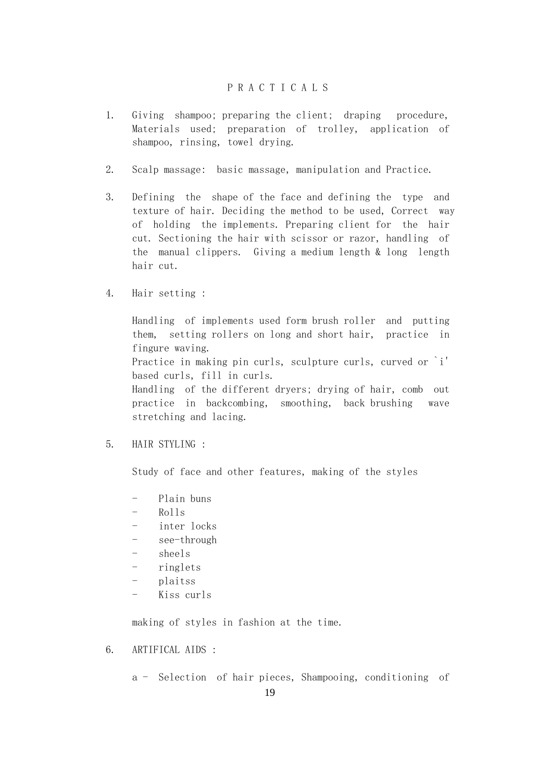# P R A C T I C A L S

- 1. Giving shampoo; preparing the client; draping procedure, Materials used; preparation of trolley, application of shampoo, rinsing, towel drying.
- 2. Scalp massage: basic massage, manipulation and Practice.
- 3. Defining the shape of the face and defining the type and texture of hair. Deciding the method to be used, Correct way of holding the implements. Preparing client for the hair cut. Sectioning the hair with scissor or razor, handling of the manual clippers. Giving a medium length & long length hair cut.
- 4. Hair setting :

 Handling of implements used form brush roller and putting them, setting rollers on long and short hair, practice in fingure waving. Practice in making pin curls, sculpture curls, curved or `i' based curls, fill in curls. Handling of the different dryers; drying of hair, comb out practice in backcombing, smoothing, back brushing wave stretching and lacing.

5. HAIR STYLING :

Study of face and other features, making of the styles

- Plain buns
- Rolls
- inter locks
- see-through
- sheels
- ringlets
- plaitss
- Kiss curls

making of styles in fashion at the time.

6. ARTIFICAL AIDS :

a - Selection of hair pieces, Shampooing, conditioning of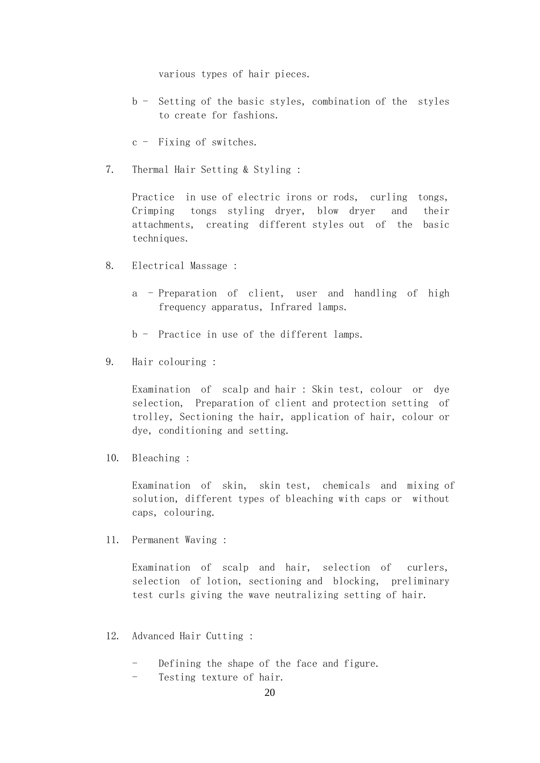various types of hair pieces.

- b Setting of the basic styles, combination of the styles to create for fashions.
- c Fixing of switches.
- 7. Thermal Hair Setting & Styling :

 Practice in use of electric irons or rods, curling tongs, Crimping tongs styling dryer, blow dryer and their attachments, creating different styles out of the basic techniques.

- 8. Electrical Massage :
	- a Preparation of client, user and handling of high frequency apparatus, Infrared lamps.
	- b Practice in use of the different lamps.
- 9. Hair colouring :

 Examination of scalp and hair : Skin test, colour or dye selection, Preparation of client and protection setting of trolley, Sectioning the hair, application of hair, colour or dye, conditioning and setting.

10. Bleaching :

 Examination of skin, skin test, chemicals and mixing of solution, different types of bleaching with caps or without caps, colouring.

11. Permanent Waving :

 Examination of scalp and hair, selection of curlers, selection of lotion, sectioning and blocking, preliminary test curls giving the wave neutralizing setting of hair.

- 12. Advanced Hair Cutting :
	- Defining the shape of the face and figure.
	- Testing texture of hair.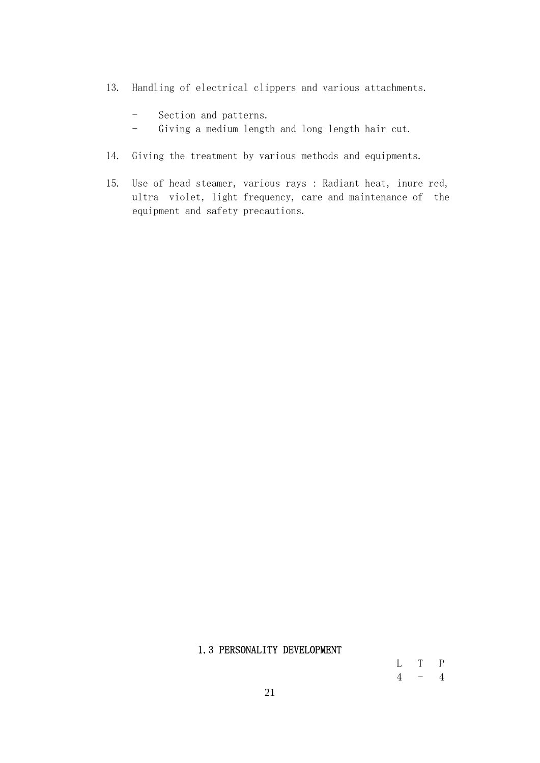- 13. Handling of electrical clippers and various attachments.
	- Section and patterns.
	- Giving a medium length and long length hair cut.
- 14. Giving the treatment by various methods and equipments.
- 15. Use of head steamer, various rays : Radiant heat, inure red, ultra violet, light frequency, care and maintenance of the equipment and safety precautions.

# 1.3 PERSONALITY DEVELOPMENT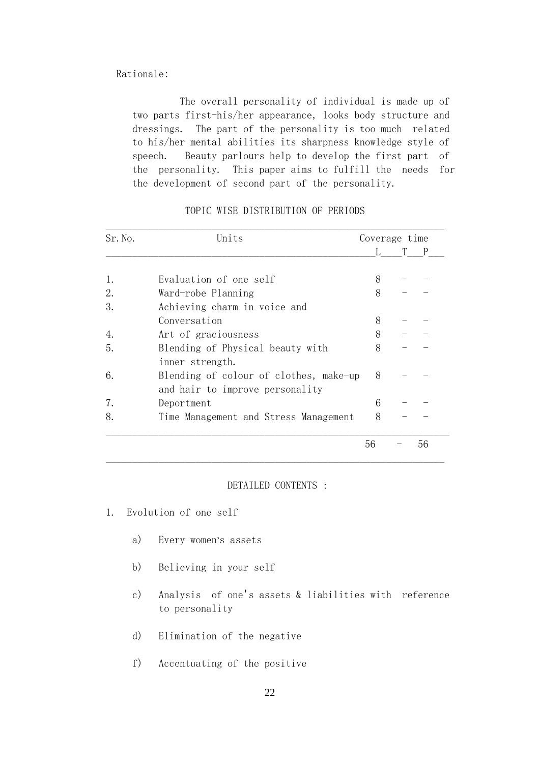### Rationale:

 The overall personality of individual is made up of two parts first-his/her appearance, looks body structure and dressings. The part of the personality is too much related to his/her mental abilities its sharpness knowledge style of speech. Beauty parlours help to develop the first part of the personality. This paper aims to fulfill the needs for the development of second part of the personality.

| Sr. No. | Units                                  |    | Coverage time |    |  |
|---------|----------------------------------------|----|---------------|----|--|
|         |                                        |    |               | P  |  |
| 1.      | Evaluation of one self                 | 8  |               |    |  |
| 2.      | Ward-robe Planning                     | 8  |               |    |  |
| 3.      | Achieving charm in voice and           |    |               |    |  |
|         | Conversation                           | 8  |               |    |  |
| 4.      | Art of graciousness                    | 8  |               |    |  |
| 5.      | Blending of Physical beauty with       | 8  |               |    |  |
|         | inner strength.                        |    |               |    |  |
| 6.      | Blending of colour of clothes, make-up | 8  |               |    |  |
|         | and hair to improve personality        |    |               |    |  |
| 7.      | Deportment                             | 6  |               |    |  |
| 8.      | Time Management and Stress Management  | 8  |               |    |  |
|         |                                        |    |               |    |  |
|         |                                        | 56 |               | 56 |  |

#### TOPIC WISE DISTRIBUTION OF PERIODS

### DETAILED CONTENTS :

- 1. Evolution of one self
	- a) Every women's assets
	- b) Believing in your self
	- c) Analysis of one's assets & liabilities with reference to personality
	- d) Elimination of the negative
	- f) Accentuating of the positive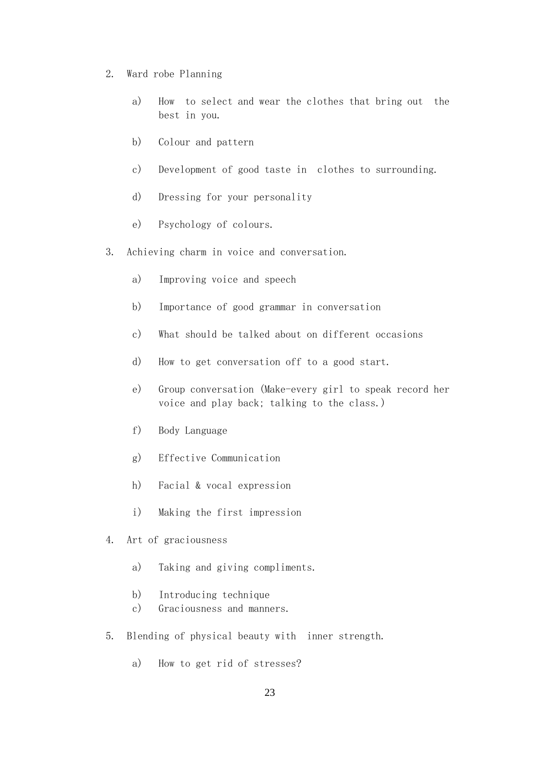- 2. Ward robe Planning
	- a) How to select and wear the clothes that bring out the best in you.
	- b) Colour and pattern
	- c) Development of good taste in clothes to surrounding.
	- d) Dressing for your personality
	- e) Psychology of colours.
- 3. Achieving charm in voice and conversation.
	- a) Improving voice and speech
	- b) Importance of good grammar in conversation
	- c) What should be talked about on different occasions
	- d) How to get conversation off to a good start.
	- e) Group conversation (Make-every girl to speak record her voice and play back; talking to the class.)
	- f) Body Language
	- g) Effective Communication
	- h) Facial & vocal expression
	- i) Making the first impression
- 4. Art of graciousness
	- a) Taking and giving compliments.
	- b) Introducing technique
	- c) Graciousness and manners.
- 5. Blending of physical beauty with inner strength.
	- a) How to get rid of stresses?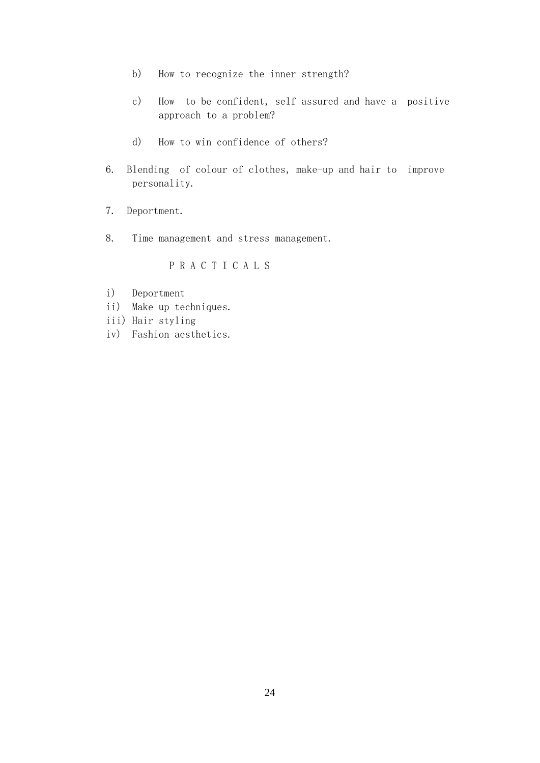- b) How to recognize the inner strength?
- c) How to be confident, self assured and have a positive approach to a problem?
- d) How to win confidence of others?
- 6. Blending of colour of clothes, make-up and hair to improve personality.
- 7. Deportment.
- 8. Time management and stress management.

# P R A C T I C A L S

- i) Deportment
- ii) Make up techniques.
- iii) Hair styling
- iv) Fashion aesthetics.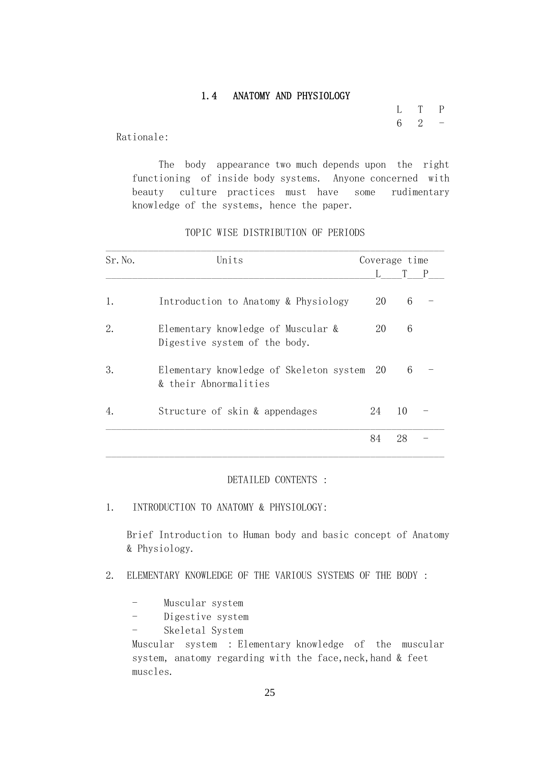# 1.4 ANATOMY AND PHYSIOLOGY

 L T P  $6 \t 2 \t -$ 

Rationale:

 The body appearance two much depends upon the right functioning of inside body systems. Anyone concerned with beauty culture practices must have some rudimentary knowledge of the systems, hence the paper.

| Sr. No. | Units                                                               | Coverage time |                |  |
|---------|---------------------------------------------------------------------|---------------|----------------|--|
|         |                                                                     |               |                |  |
| 1.      | Introduction to Anatomy & Physiology                                | 20            | $\mathfrak{h}$ |  |
| 2.      | Elementary knowledge of Muscular &<br>Digestive system of the body. | 20            | 6              |  |
| 3.      | Elementary knowledge of Skeleton system 20<br>& their Abnormalities |               | 6              |  |

4. Structure of skin & appendages 24 10 -

 $\mathcal{L}_\mathcal{L} = \mathcal{L}_\mathcal{L} = \mathcal{L}_\mathcal{L} = \mathcal{L}_\mathcal{L} = \mathcal{L}_\mathcal{L} = \mathcal{L}_\mathcal{L} = \mathcal{L}_\mathcal{L} = \mathcal{L}_\mathcal{L} = \mathcal{L}_\mathcal{L} = \mathcal{L}_\mathcal{L} = \mathcal{L}_\mathcal{L} = \mathcal{L}_\mathcal{L} = \mathcal{L}_\mathcal{L} = \mathcal{L}_\mathcal{L} = \mathcal{L}_\mathcal{L} = \mathcal{L}_\mathcal{L} = \mathcal{L}_\mathcal{L}$  84 28 -  $\mathcal{L}_\mathcal{L} = \mathcal{L}_\mathcal{L} = \mathcal{L}_\mathcal{L} = \mathcal{L}_\mathcal{L} = \mathcal{L}_\mathcal{L} = \mathcal{L}_\mathcal{L} = \mathcal{L}_\mathcal{L} = \mathcal{L}_\mathcal{L} = \mathcal{L}_\mathcal{L} = \mathcal{L}_\mathcal{L} = \mathcal{L}_\mathcal{L} = \mathcal{L}_\mathcal{L} = \mathcal{L}_\mathcal{L} = \mathcal{L}_\mathcal{L} = \mathcal{L}_\mathcal{L} = \mathcal{L}_\mathcal{L} = \mathcal{L}_\mathcal{L}$ 

## TOPIC WISE DISTRIBUTION OF PERIODS

#### DETAILED CONTENTS :

1. INTRODUCTION TO ANATOMY & PHYSIOLOGY:

 Brief Introduction to Human body and basic concept of Anatomy & Physiology.

- 2. ELEMENTARY KNOWLEDGE OF THE VARIOUS SYSTEMS OF THE BODY :
	- Muscular system
	- Digestive system
	- Skeletal System

 Muscular system : Elementary knowledge of the muscular system, anatomy regarding with the face, neck, hand & feet muscles.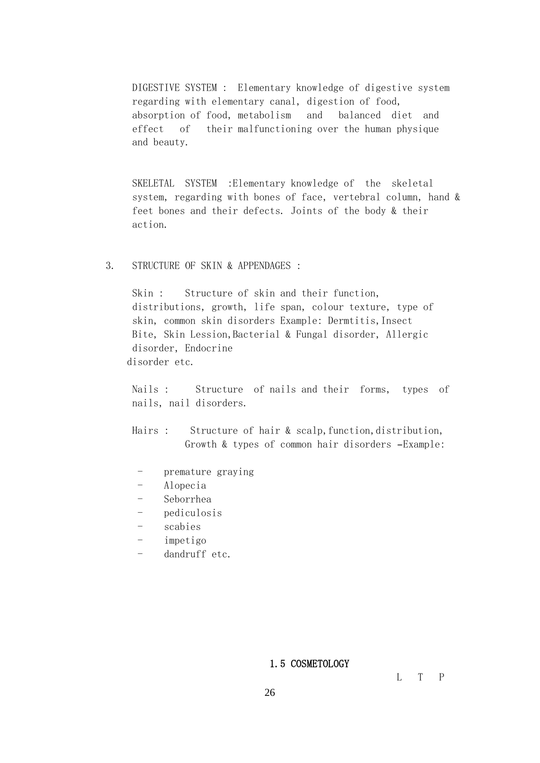DIGESTIVE SYSTEM : Elementary knowledge of digestive system regarding with elementary canal, digestion of food, absorption of food, metabolism and balanced diet and effect of their malfunctioning over the human physique and beauty.

 SKELETAL SYSTEM :Elementary knowledge of the skeletal system, regarding with bones of face, vertebral column, hand & feet bones and their defects. Joints of the body & their action.

## 3. STRUCTURE OF SKIN & APPENDAGES :

Skin : Structure of skin and their function, distributions, growth, life span, colour texture, type of skin, common skin disorders Example: Dermtitis,Insect Bite, Skin Lession,Bacterial & Fungal disorder, Allergic disorder, Endocrine disorder etc.

 Nails : Structure of nails and their forms, types of nails, nail disorders.

Hairs : Structure of hair & scalp, function, distribution, Growth & types of common hair disorders –Example:

- premature graving
- Alopecia
- Seborrhea
- pediculosis
- scabies
- impetigo
- dandruff etc.

#### 1.5 COSMETOLOGY

L T P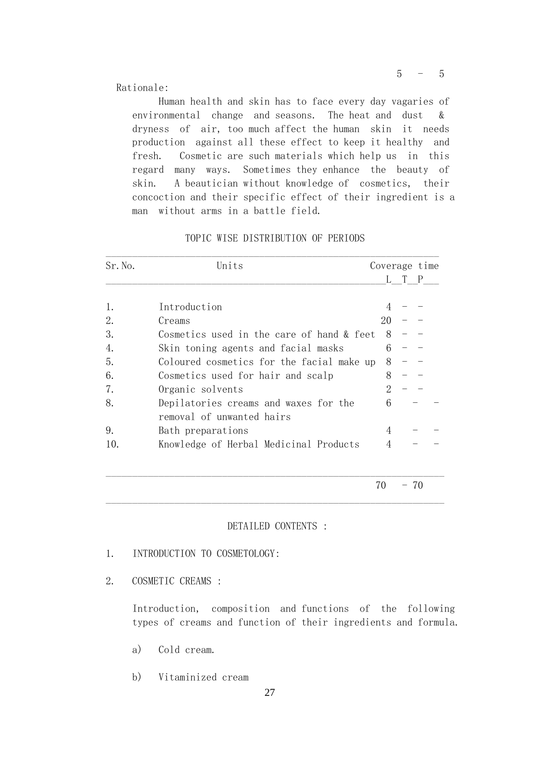Rationale:

 Human health and skin has to face every day vagaries of environmental change and seasons. The heat and dust & dryness of air, too much affect the human skin it needs production against all these effect to keep it healthy and fresh. Cosmetic are such materials which help us in this regard many ways. Sometimes they enhance the beauty of skin. A beautician without knowledge of cosmetics, their concoction and their specific effect of their ingredient is a man without arms in a battle field.

| Sr. No. | Units                                     |          | Coverage time |  |
|---------|-------------------------------------------|----------|---------------|--|
|         |                                           |          | L T P         |  |
| 1.      | Introduction                              |          |               |  |
| 2.      | Creams                                    | 20       |               |  |
| 3.      | Cosmetics used in the care of hand & feet | 8        |               |  |
| 4.      | Skin toning agents and facial masks       | 6        |               |  |
| 5.      | Coloured cosmetics for the facial make up | 8        |               |  |
| 6.      | Cosmetics used for hair and scalp         |          |               |  |
| 7.      | Organic solvents                          | $\Omega$ |               |  |
| 8.      | Depilatories creams and waxes for the     | 6        |               |  |
|         | removal of unwanted hairs                 |          |               |  |
| 9.      | Bath preparations                         | 4        |               |  |
| 10.     | Knowledge of Herbal Medicinal Products    |          |               |  |

# TOPIC WISE DISTRIBUTION OF PERIODS

 $70 - 70$ 

#### DETAILED CONTENTS :

 $\mathcal{L}_\mathcal{L} = \mathcal{L}_\mathcal{L} = \mathcal{L}_\mathcal{L} = \mathcal{L}_\mathcal{L} = \mathcal{L}_\mathcal{L} = \mathcal{L}_\mathcal{L} = \mathcal{L}_\mathcal{L} = \mathcal{L}_\mathcal{L} = \mathcal{L}_\mathcal{L} = \mathcal{L}_\mathcal{L} = \mathcal{L}_\mathcal{L} = \mathcal{L}_\mathcal{L} = \mathcal{L}_\mathcal{L} = \mathcal{L}_\mathcal{L} = \mathcal{L}_\mathcal{L} = \mathcal{L}_\mathcal{L} = \mathcal{L}_\mathcal{L}$ 

 $\mathcal{L}_\mathcal{L} = \mathcal{L}_\mathcal{L} = \mathcal{L}_\mathcal{L} = \mathcal{L}_\mathcal{L} = \mathcal{L}_\mathcal{L} = \mathcal{L}_\mathcal{L} = \mathcal{L}_\mathcal{L} = \mathcal{L}_\mathcal{L} = \mathcal{L}_\mathcal{L} = \mathcal{L}_\mathcal{L} = \mathcal{L}_\mathcal{L} = \mathcal{L}_\mathcal{L} = \mathcal{L}_\mathcal{L} = \mathcal{L}_\mathcal{L} = \mathcal{L}_\mathcal{L} = \mathcal{L}_\mathcal{L} = \mathcal{L}_\mathcal{L}$ 

- 1. INTRODUCTION TO COSMETOLOGY:
- 2. COSMETIC CREAMS :

 Introduction, composition and functions of the following types of creams and function of their ingredients and formula.

- a) Cold cream.
- b) Vitaminized cream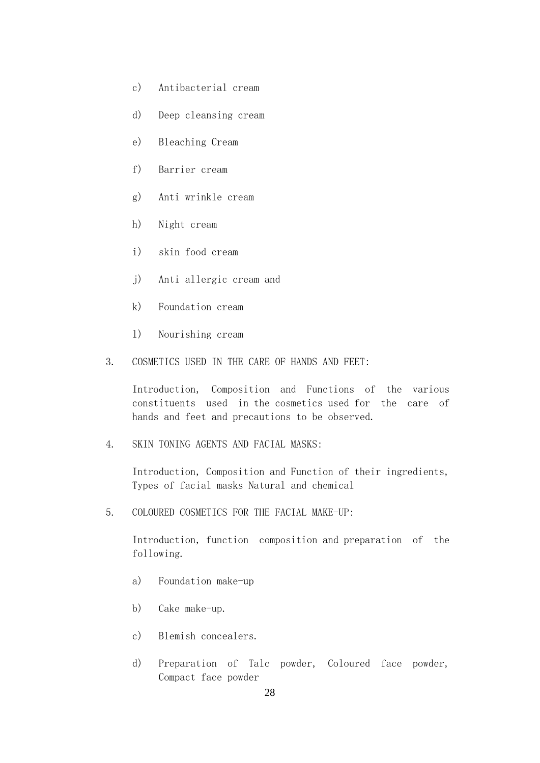- c) Antibacterial cream
- d) Deep cleansing cream
- e) Bleaching Cream
- f) Barrier cream
- g) Anti wrinkle cream
- h) Night cream
- i) skin food cream
- j) Anti allergic cream and
- k) Foundation cream
- l) Nourishing cream
- 3. COSMETICS USED IN THE CARE OF HANDS AND FEET:

 Introduction, Composition and Functions of the various constituents used in the cosmetics used for the care of hands and feet and precautions to be observed.

4. SKIN TONING AGENTS AND FACIAL MASKS:

 Introduction, Composition and Function of their ingredients, Types of facial masks Natural and chemical

5. COLOURED COSMETICS FOR THE FACIAL MAKE-UP:

 Introduction, function composition and preparation of the following.

- a) Foundation make-up
- b) Cake make-up.
- c) Blemish concealers.
- d) Preparation of Talc powder, Coloured face powder, Compact face powder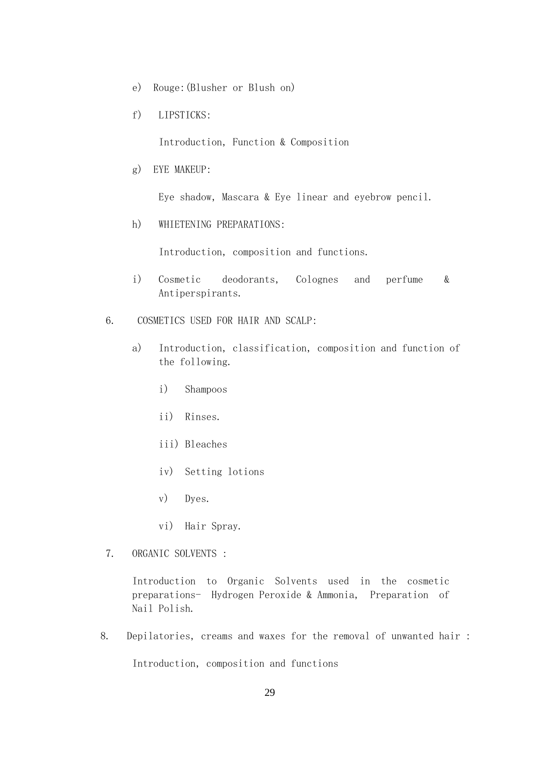- e) Rouge:(Blusher or Blush on)
- f) LIPSTICKS:

Introduction, Function & Composition

g) EYE MAKEUP:

Eye shadow, Mascara & Eye linear and eyebrow pencil.

h) WHIETENING PREPARATIONS:

Introduction, composition and functions.

- i) Cosmetic deodorants, Colognes and perfume & Antiperspirants.
- 6. COSMETICS USED FOR HAIR AND SCALP:
	- a) Introduction, classification, composition and function of the following.
		- i) Shampoos
		- ii) Rinses.
		- iii) Bleaches
		- iv) Setting lotions
		- v) Dyes.
		- vi) Hair Spray.
- 7. ORGANIC SOLVENTS :

 Introduction to Organic Solvents used in the cosmetic preparations- Hydrogen Peroxide & Ammonia, Preparation of Nail Polish.

8. Depilatories, creams and waxes for the removal of unwanted hair :

Introduction, composition and functions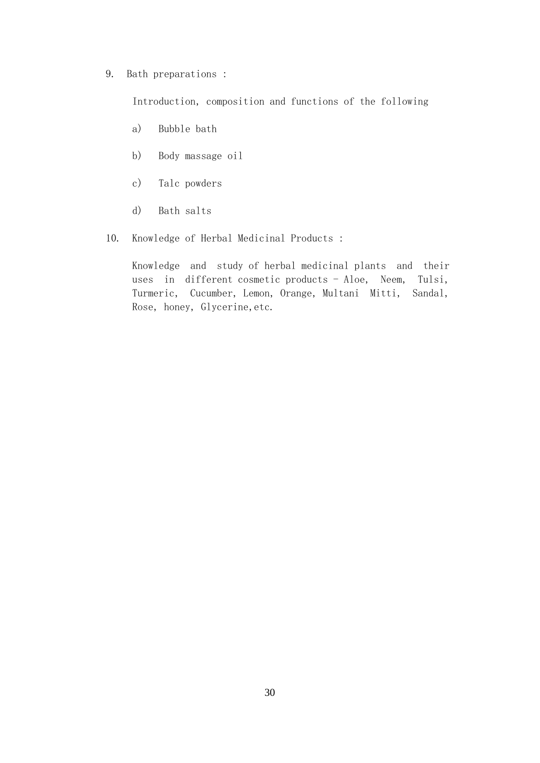### 9. Bath preparations :

Introduction, composition and functions of the following

- a) Bubble bath
- b) Body massage oil
- c) Talc powders
- d) Bath salts
- 10. Knowledge of Herbal Medicinal Products :

 Knowledge and study of herbal medicinal plants and their uses in different cosmetic products - Aloe, Neem, Tulsi, Turmeric, Cucumber, Lemon, Orange, Multani Mitti, Sandal, Rose, honey, Glycerine,etc.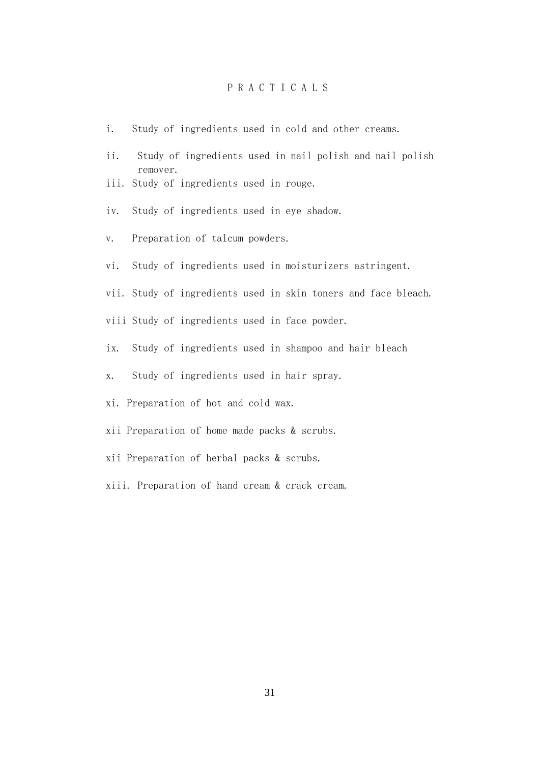# P R A C T I C A L S

- i. Study of ingredients used in cold and other creams.
- ii. Study of ingredients used in nail polish and nail polish remover.
- iii. Study of ingredients used in rouge.
- iv. Study of ingredients used in eye shadow.
- v. Preparation of talcum powders.
- vi. Study of ingredients used in moisturizers astringent.
- vii. Study of ingredients used in skin toners and face bleach.
- viii Study of ingredients used in face powder.
- ix. Study of ingredients used in shampoo and hair bleach
- x. Study of ingredients used in hair spray.
- xi. Preparation of hot and cold wax.
- xii Preparation of home made packs & scrubs.
- xii Preparation of herbal packs & scrubs.
- xiii. Preparation of hand cream & crack cream.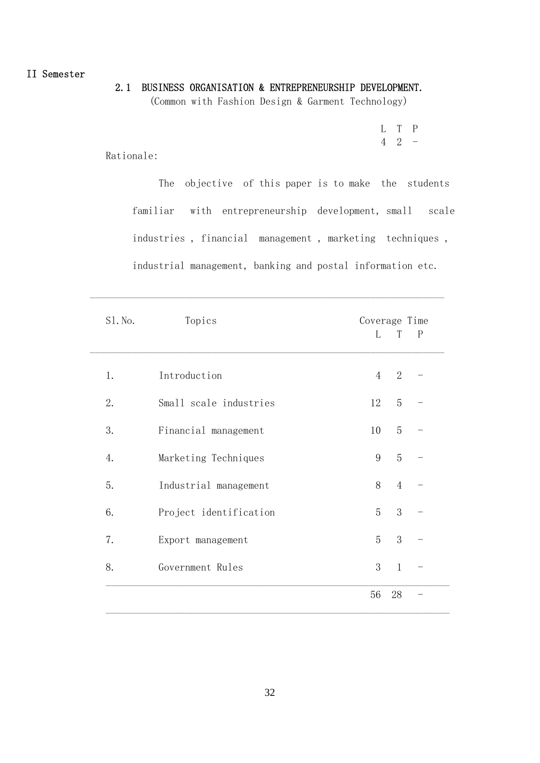II Semester

# 2.1 BUSINESS ORGANISATION & ENTREPRENEURSHIP DEVELOPMENT.

(Common with Fashion Design & Garment Technology)

 L T P 4 2 -

Rationale:

 The objective of this paper is to make the students familiar with entrepreneurship development, small scale industries , financial management , marketing techniques , industrial management, banking and postal information etc.

| S1. No. | Topics                 | Coverage Time  |                |              |
|---------|------------------------|----------------|----------------|--------------|
|         |                        | L              | T              | $\mathbf{P}$ |
| 1.      | Introduction           | $\overline{4}$ | $\sqrt{2}$     |              |
| 2.      | Small scale industries | 12             | $\overline{5}$ |              |
| 3.      | Financial management   | 10             | $\overline{5}$ |              |
| 4.      | Marketing Techniques   | 9              | $\overline{5}$ |              |
| 5.      | Industrial management  | 8              | $\overline{4}$ |              |
| 6.      | Project identification | 5              | 3              |              |
| 7.      | Export management      | $\overline{5}$ | 3              |              |
| 8.      | Government Rules       | 3              | $\mathbf{1}$   |              |
|         |                        | 56             | 28             |              |

 $\_$  , and the set of the set of the set of the set of the set of the set of the set of the set of the set of the set of the set of the set of the set of the set of the set of the set of the set of the set of the set of th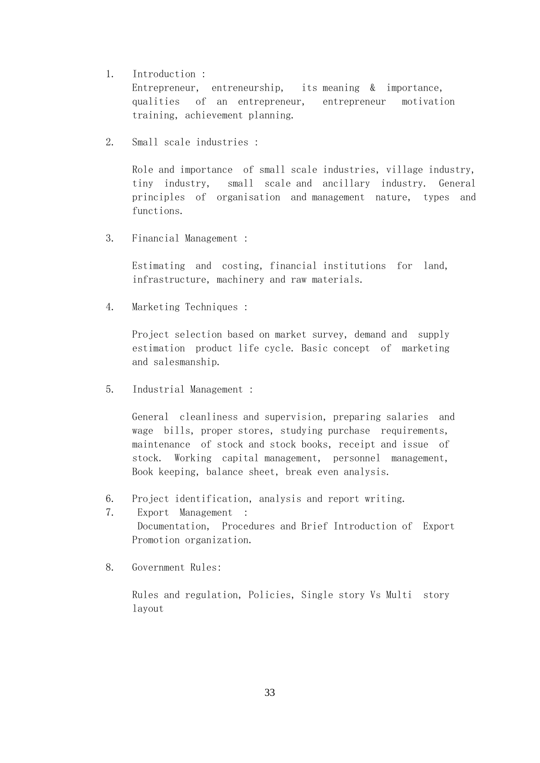1. Introduction :

 Entrepreneur, entreneurship, its meaning & importance, qualities of an entrepreneur, entrepreneur motivation training, achievement planning.

2. Small scale industries :

 Role and importance of small scale industries, village industry, tiny industry, small scale and ancillary industry. General principles of organisation and management nature, types and functions.

3. Financial Management :

 Estimating and costing, financial institutions for land, infrastructure, machinery and raw materials.

4. Marketing Techniques :

 Project selection based on market survey, demand and supply estimation product life cycle. Basic concept of marketing and salesmanship.

5. Industrial Management :

 General cleanliness and supervision, preparing salaries and wage bills, proper stores, studying purchase requirements, maintenance of stock and stock books, receipt and issue of stock. Working capital management, personnel management, Book keeping, balance sheet, break even analysis.

- 6. Project identification, analysis and report writing.
- 7. Export Management : Documentation, Procedures and Brief Introduction of Export Promotion organization.
- 8. Government Rules:

 Rules and regulation, Policies, Single story Vs Multi story layout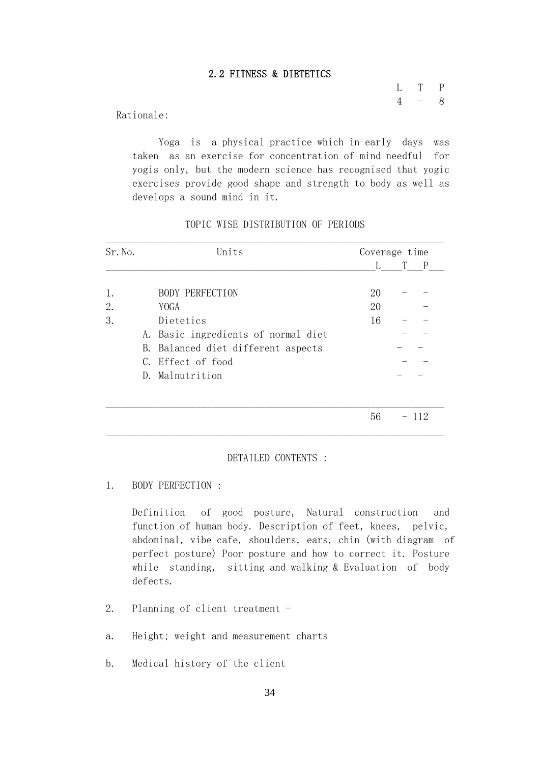## 2.2 FITNESS & DIETETICS

 L T P  $4 - 8$ 

Rationale:

 Yoga is a physical practice which in early days was taken as an exercise for concentration of mind needful for yogis only, but the modern science has recognised that yogic exercises provide good shape and strength to body as well as develops a sound mind in it.

| Sr. No. | Units                               | Coverage time |  |
|---------|-------------------------------------|---------------|--|
|         |                                     |               |  |
| 1.      | <b>BODY PERFECTION</b>              | 20            |  |
| 2.      | YOGA                                | 20            |  |
| 3.      | Dietetics                           | 16            |  |
|         | A. Basic ingredients of normal diet |               |  |
|         | B. Balanced diet different aspects  |               |  |
|         | C. Effect of food                   |               |  |
|         | D. Malnutrition                     |               |  |

TOPIC WISE DISTRIBUTION OF PERIODS

### DETAILED CONTENTS :

 $\mathcal{L}_\mathcal{L} = \mathcal{L}_\mathcal{L} = \mathcal{L}_\mathcal{L} = \mathcal{L}_\mathcal{L} = \mathcal{L}_\mathcal{L} = \mathcal{L}_\mathcal{L} = \mathcal{L}_\mathcal{L} = \mathcal{L}_\mathcal{L} = \mathcal{L}_\mathcal{L} = \mathcal{L}_\mathcal{L} = \mathcal{L}_\mathcal{L} = \mathcal{L}_\mathcal{L} = \mathcal{L}_\mathcal{L} = \mathcal{L}_\mathcal{L} = \mathcal{L}_\mathcal{L} = \mathcal{L}_\mathcal{L} = \mathcal{L}_\mathcal{L}$ 

1. BODY PERFECTION :

 Definition of good posture, Natural construction and function of human body. Description of feet, knees, pelvic, abdominal, vibe cafe, shoulders, ears, chin (with diagram of perfect posture) Poor posture and how to correct it. Posture while standing, sitting and walking & Evaluation of body defects.

- 2. Planning of client treatment -
- a. Height; weight and measurement charts
- b. Medical history of the client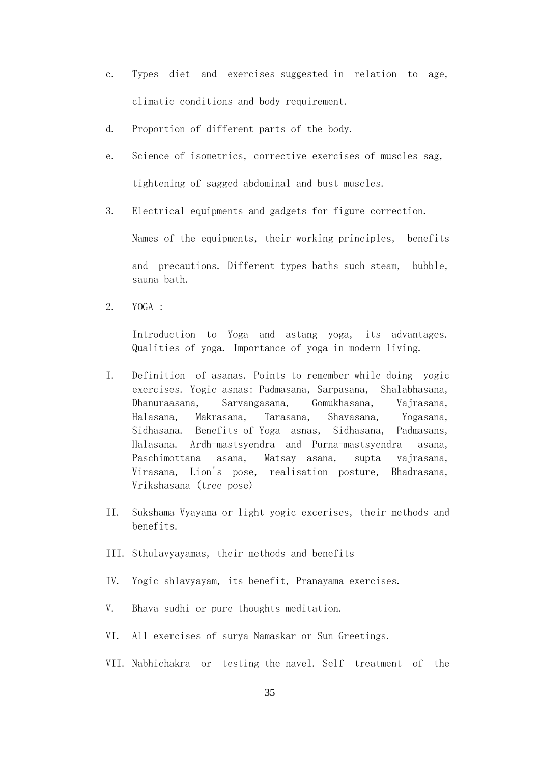- c. Types diet and exercises suggested in relation to age, climatic conditions and body requirement.
- d. Proportion of different parts of the body.
- e. Science of isometrics, corrective exercises of muscles sag, tightening of sagged abdominal and bust muscles.
- 3. Electrical equipments and gadgets for figure correction.

Names of the equipments, their working principles, benefits

 and precautions. Different types baths such steam, bubble, sauna bath.

2. YOGA :

Introduction to Yoga and astang yoga, its advantages. Qualities of yoga. Importance of yoga in modern living.

- I. Definition of asanas. Points to remember while doing yogic exercises. Yogic asnas: Padmasana, Sarpasana, Shalabhasana, Dhanuraasana, Sarvangasana, Gomukhasana, Vajrasana, Halasana, Makrasana, Tarasana, Shavasana, Yogasana, Sidhasana. Benefits of Yoga asnas, Sidhasana, Padmasans, Halasana. Ardh-mastsyendra and Purna-mastsyendra asana, Paschimottana asana, Matsay asana, supta vajrasana, Virasana, Lion's pose, realisation posture, Bhadrasana, Vrikshasana (tree pose)
	- II. Sukshama Vyayama or light yogic excerises, their methods and benefits.
	- III. Sthulavyayamas, their methods and benefits
	- IV. Yogic shlavyayam, its benefit, Pranayama exercises.
	- V. Bhava sudhi or pure thoughts meditation.
	- VI. All exercises of surya Namaskar or Sun Greetings.
	- VII. Nabhichakra or testing the navel. Self treatment of the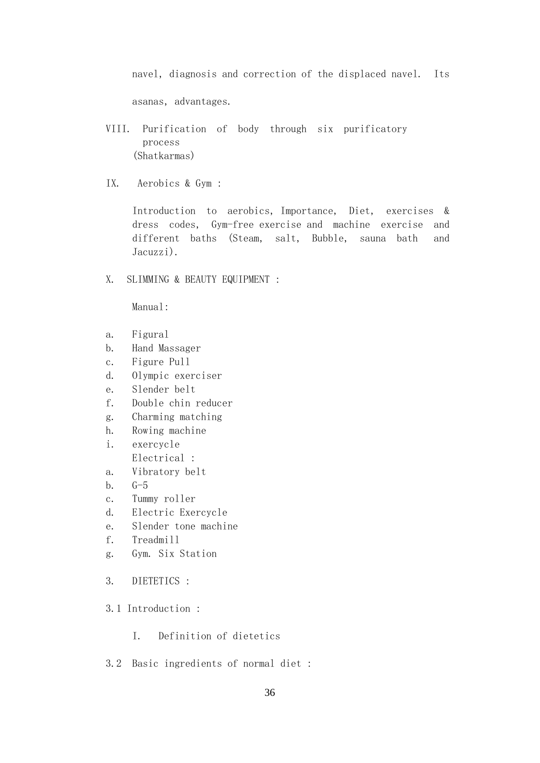navel, diagnosis and correction of the displaced navel. Its

asanas, advantages.

- VIII. Purification of body through six purificatory process (Shatkarmas)
- IX. Aerobics & Gym :

 Introduction to aerobics, Importance, Diet, exercises & dress codes, Gym-free exercise and machine exercise and different baths (Steam, salt, Bubble, sauna bath and Jacuzzi).

X. SLIMMING & BEAUTY EQUIPMENT :

Manual:

- a. Figural
- b. Hand Massager
- c. Figure Pull
- d. Olympic exerciser
- e. Slender belt
- f. Double chin reducer
- g. Charming matching
- h. Rowing machine
- i. exercycle Electrical :
- a. Vibratory belt
- b. G-5
- c. Tummy roller
- d. Electric Exercycle
- e. Slender tone machine
- f. Treadmill
- g. Gym. Six Station
- 3. DIETETICS :
- 3.1 Introduction :
	- I. Definition of dietetics
- 3.2 Basic ingredients of normal diet :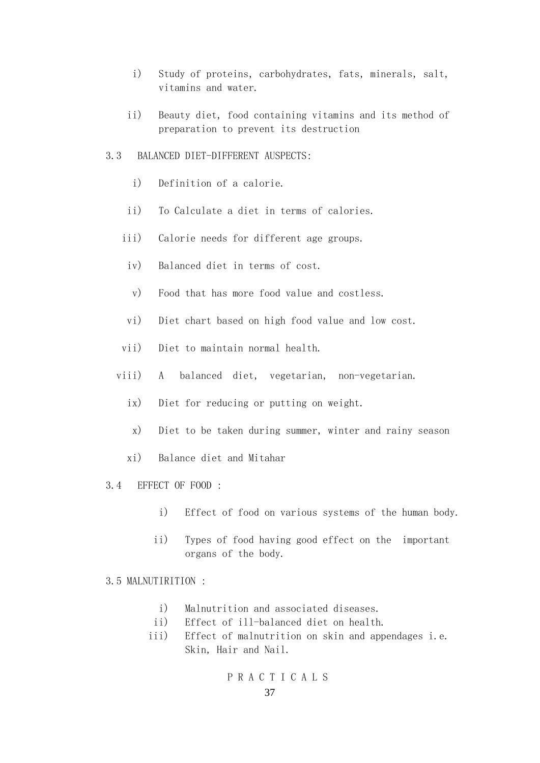- i) Study of proteins, carbohydrates, fats, minerals, salt, vitamins and water.
- ii) Beauty diet, food containing vitamins and its method of preparation to prevent its destruction

## 3.3 BALANCED DIET-DIFFERENT AUSPECTS:

- i) Definition of a calorie.
- ii) To Calculate a diet in terms of calories.
- iii) Calorie needs for different age groups.
- iv) Balanced diet in terms of cost.
	- v) Food that has more food value and costless.
- vi) Diet chart based on high food value and low cost.
- vii) Diet to maintain normal health.
- viii) A balanced diet, vegetarian, non-vegetarian.
	- ix) Diet for reducing or putting on weight.
	- x) Diet to be taken during summer, winter and rainy season
	- xi) Balance diet and Mitahar
- 3.4 EFFECT OF FOOD :
	- i) Effect of food on various systems of the human body.
	- ii) Types of food having good effect on the important organs of the body.

## 3.5 MALNUTIRITION :

- i) Malnutrition and associated diseases.
- ii) Effect of ill-balanced diet on health.
- iii) Effect of malnutrition on skin and appendages i.e. Skin, Hair and Nail.

## P R A C T I C A L S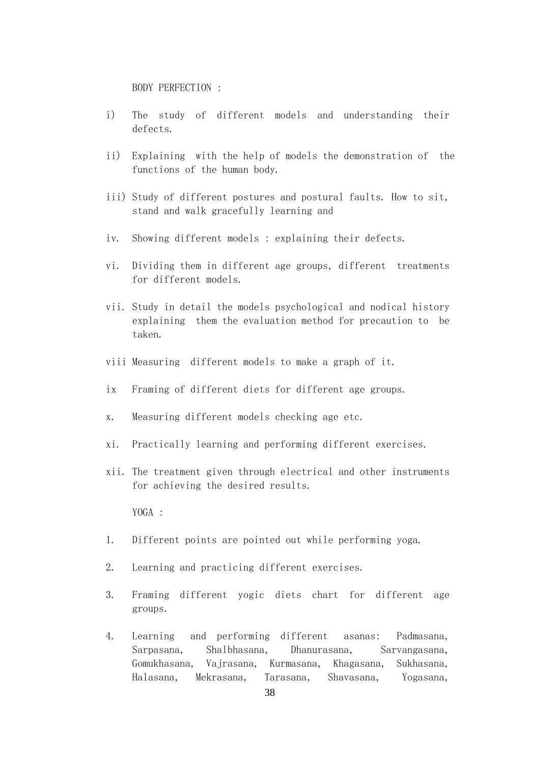BODY PERFECTION :

- i) The study of different models and understanding their defects.
- ii) Explaining with the help of models the demonstration of the functions of the human body.
- iii) Study of different postures and postural faults. How to sit, stand and walk gracefully learning and
- iv. Showing different models : explaining their defects.
- vi. Dividing them in different age groups, different treatments for different models.
- vii. Study in detail the models psychological and nodical history explaining them the evaluation method for precaution to be taken.
- viii Measuring different models to make a graph of it.
- ix Framing of different diets for different age groups.
- x. Measuring different models checking age etc.
- xi. Practically learning and performing different exercises.
- xii. The treatment given through electrical and other instruments for achieving the desired results.

YOGA :

- 1. Different points are pointed out while performing yoga.
- 2. Learning and practicing different exercises.
- 3. Framing different yogic diets chart for different age groups.
- 4. Learning and performing different asanas: Padmasana, Sarpasana, Shalbhasana, Dhanurasana, Sarvangasana, Gomukhasana, Vajrasana, Kurmasana, Khagasana, Sukhasana, Halasana, Mekrasana, Tarasana, Shavasana, Yogasana,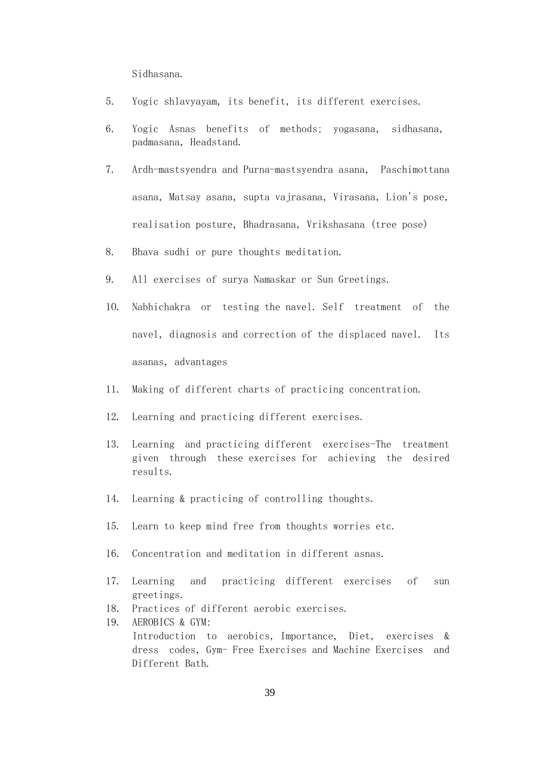Sidhasana.

- 5. Yogic shlavyayam, its benefit, its different exercises.
- 6. Yogic Asnas benefits of methods; yogasana, sidhasana, padmasana, Headstand.
- 7. Ardh-mastsyendra and Purna-mastsyendra asana, Paschimottana asana, Matsay asana, supta vajrasana, Virasana, Lion's pose, realisation posture, Bhadrasana, Vrikshasana (tree pose)
- 8. Bhava sudhi or pure thoughts meditation.
- 9. All exercises of surya Namaskar or Sun Greetings.
- 1O. Nabhichakra or testing the navel. Self treatment of the navel, diagnosis and correction of the displaced navel. Its asanas, advantages
- 11. Making of different charts of practicing concentration.
- 12. Learning and practicing different exercises.
- 13. Learning and practicing different exercises-The treatment given through these exercises for achieving the desired results.
- 14. Learning & practicing of controlling thoughts.
- 15. Learn to keep mind free from thoughts worries etc.
- 16. Concentration and meditation in different asnas.
- 17. Learning and practicing different exercises of sun greetings.
- 18. Practices of different aerobic exercises.
- 19. AEROBICS & GYM: Introduction to aerobics, Importance, Diet, exercises & dress codes, Gym- Free Exercises and Machine Exercises and Different Bath.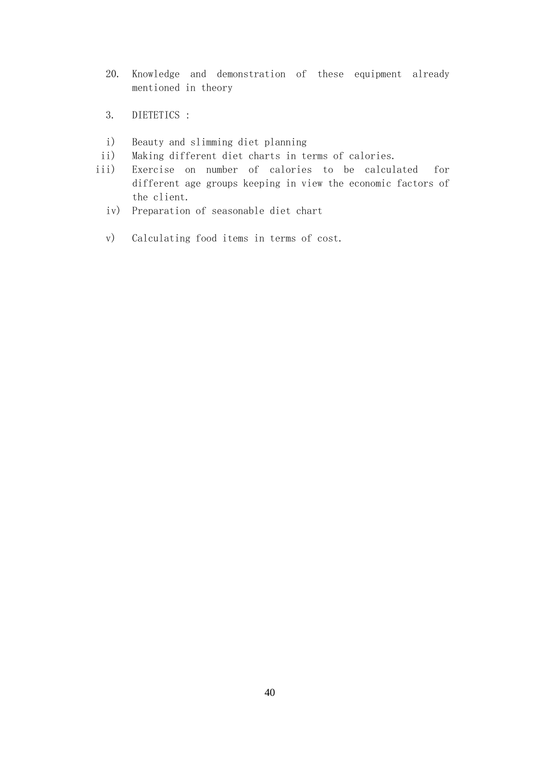- 20. Knowledge and demonstration of these equipment already mentioned in theory
- 3. DIETETICS :
- i) Beauty and slimming diet planning
- ii) Making different diet charts in terms of calories.
- iii) Exercise on number of calories to be calculated for different age groups keeping in view the economic factors of the client.
	- iv) Preparation of seasonable diet chart
	- v) Calculating food items in terms of cost.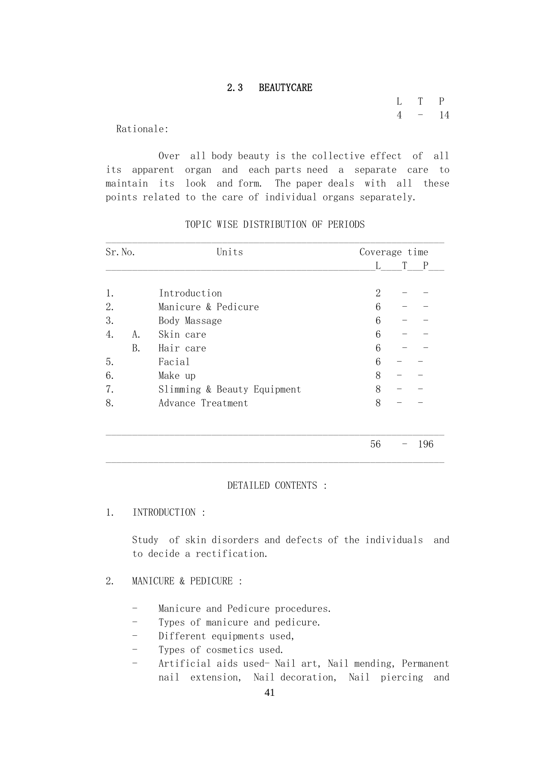## 2.3 BEAUTYCARE

 L T P  $4 - 14$ 

Rationale:

 Over all body beauty is the collective effect of all its apparent organ and each parts need a separate care to maintain its look and form. The paper deals with all these points related to the care of individual organs separately.

| Sr. No. |    | Units                       | Coverage time  |  |   |
|---------|----|-----------------------------|----------------|--|---|
|         |    |                             |                |  | P |
| 1.      |    | Introduction                | $\overline{2}$ |  |   |
| 2.      |    | Manicure & Pedicure         | 6              |  |   |
| 3.      |    | Body Massage                | 6              |  |   |
| 4.      | A. | Skin care                   | 6              |  |   |
|         | B. | Hair care                   | 6              |  |   |
| 5.      |    | Facial                      | 6              |  |   |
| 6.      |    | Make up                     | 8              |  |   |
| 7.      |    | Slimming & Beauty Equipment | 8              |  |   |
| 8.      |    | Advance Treatment           | 8              |  |   |

# TOPIC WISE DISTRIBUTION OF PERIODS

## DETAILED CONTENTS :

1. INTRODUCTION :

 Study of skin disorders and defects of the individuals and to decide a rectification.

- 2. MANICURE & PEDICURE :
	- Manicure and Pedicure procedures.

 $\mathcal{L}_\mathcal{L} = \mathcal{L}_\mathcal{L} = \mathcal{L}_\mathcal{L} = \mathcal{L}_\mathcal{L} = \mathcal{L}_\mathcal{L} = \mathcal{L}_\mathcal{L} = \mathcal{L}_\mathcal{L} = \mathcal{L}_\mathcal{L} = \mathcal{L}_\mathcal{L} = \mathcal{L}_\mathcal{L} = \mathcal{L}_\mathcal{L} = \mathcal{L}_\mathcal{L} = \mathcal{L}_\mathcal{L} = \mathcal{L}_\mathcal{L} = \mathcal{L}_\mathcal{L} = \mathcal{L}_\mathcal{L} = \mathcal{L}_\mathcal{L}$ 

- Types of manicure and pedicure.
- Different equipments used,
- Types of cosmetics used.
- Artificial aids used- Nail art, Nail mending, Permanent nail extension, Nail decoration, Nail piercing and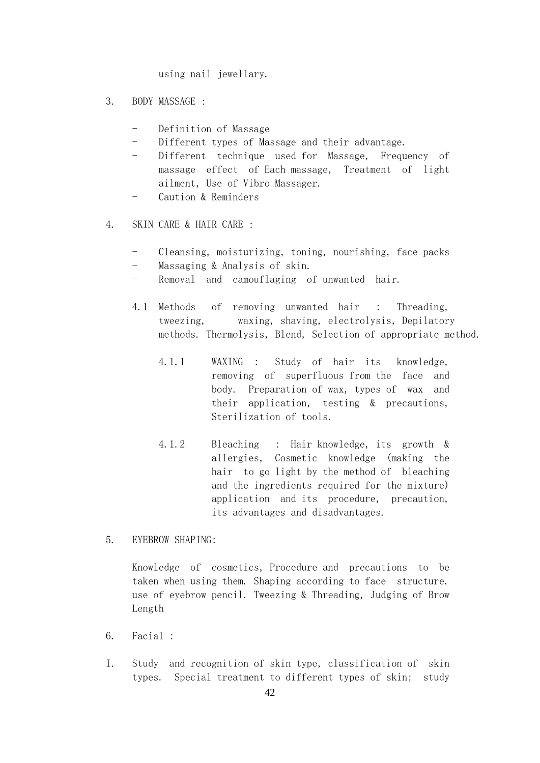using nail jewellary.

- 3. BODY MASSAGE :
	- Definition of Massage
	- Different types of Massage and their advantage.
	- Different technique used for Massage, Frequency of massage effect of Each massage, Treatment of light ailment, Use of Vibro Massager.
	- Caution & Reminders
- 4. SKIN CARE & HAIR CARE :
	- Cleansing, moisturizing, toning, nourishing, face packs
	- Massaging & Analysis of skin.
	- Removal and camouflaging of unwanted hair.
	- 4.1 Methods of removing unwanted hair : Threading, tweezing, waxing, shaving, electrolysis, Depilatory methods. Thermolysis, Blend, Selection of appropriate method.
		- 4.1.1 WAXING : Study of hair its knowledge, removing of superfluous from the face and body. Preparation of wax, types of wax and their application, testing & precautions, Sterilization of tools.
		- 4.1.2 Bleaching : Hair knowledge, its growth & allergies, Cosmetic knowledge (making the hair to go light by the method of bleaching and the ingredients required for the mixture) application and its procedure, precaution, its advantages and disadvantages.
- 5. EYEBROW SHAPING:

 Knowledge of cosmetics, Procedure and precautions to be taken when using them. Shaping according to face structure. use of eyebrow pencil. Tweezing & Threading, Judging of Brow Length

- 6. Facial :
- I. Study and recognition of skin type, classification of skin types. Special treatment to different types of skin; study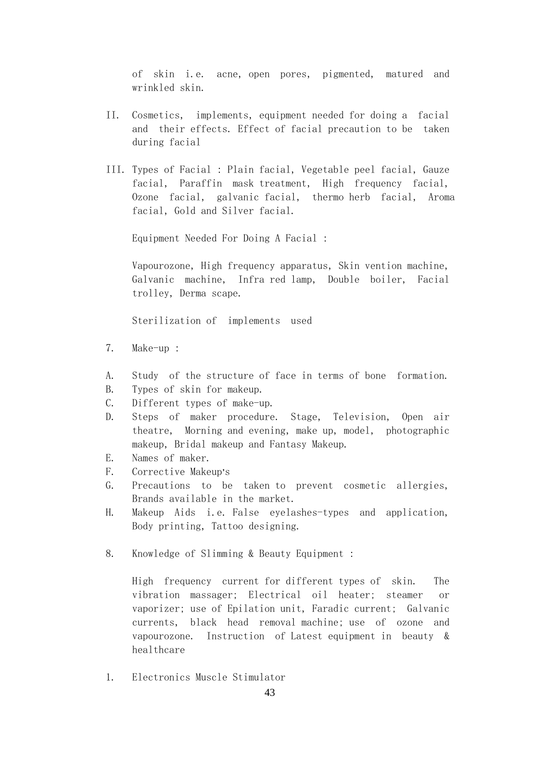of skin i.e. acne, open pores, pigmented, matured and wrinkled skin.

- II. Cosmetics, implements, equipment needed for doing a facial and their effects. Effect of facial precaution to be taken during facial
- III. Types of Facial : Plain facial, Vegetable peel facial, Gauze facial, Paraffin mask treatment, High frequency facial, Ozone facial, galvanic facial, thermo herb facial, Aroma facial, Gold and Silver facial.

Equipment Needed For Doing A Facial :

 Vapourozone, High frequency apparatus, Skin vention machine, Galvanic machine, Infra red lamp, Double boiler, Facial trolley, Derma scape.

Sterilization of implements used

- 7. Make-up :
- A. Study of the structure of face in terms of bone formation.
- B. Types of skin for makeup.
- C. Different types of make-up.
- D. Steps of maker procedure. Stage, Television, Open air theatre, Morning and evening, make up, model, photographic makeup, Bridal makeup and Fantasy Makeup.
- E. Names of maker.
- F. Corrective Makeup's
- G. Precautions to be taken to prevent cosmetic allergies, Brands available in the market.
- H. Makeup Aids i.e. False eyelashes-types and application, Body printing, Tattoo designing.
- 8. Knowledge of Slimming & Beauty Equipment :

 High frequency current for different types of skin. The vibration massager; Electrical oil heater; steamer or vaporizer; use of Epilation unit, Faradic current; Galvanic currents, black head removal machine; use of ozone and vapourozone. Instruction of Latest equipment in beauty & healthcare

1. Electronics Muscle Stimulator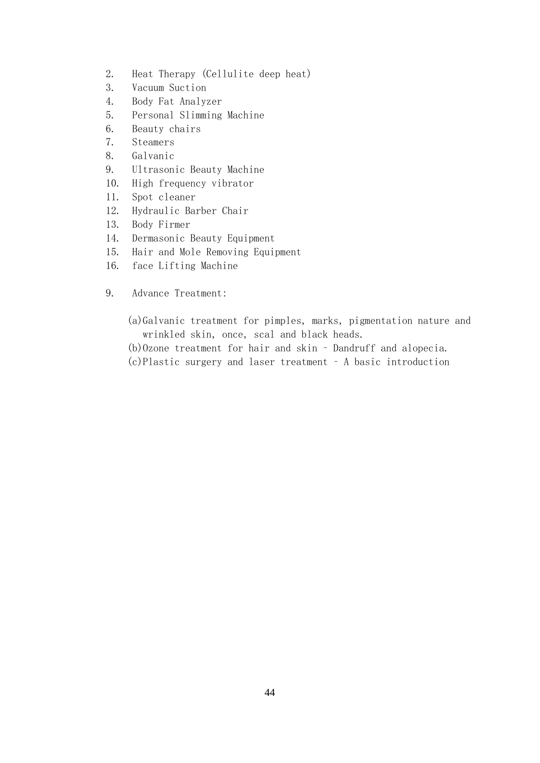- 2. Heat Therapy (Cellulite deep heat)
- 3. Vacuum Suction
- 4. Body Fat Analyzer
- 5. Personal Slimming Machine
- 6. Beauty chairs
- 7. Steamers
- 8. Galvanic
- 9. Ultrasonic Beauty Machine
- 10. High frequency vibrator
- 11. Spot cleaner
- 12. Hydraulic Barber Chair
- 13. Body Firmer
- 14. Dermasonic Beauty Equipment
- 15. Hair and Mole Removing Equipment
- 16. face Lifting Machine
- 9. Advance Treatment:
	- (a)Galvanic treatment for pimples, marks, pigmentation nature and wrinkled skin, once, scal and black heads.
	- (b)Ozone treatment for hair and skin Dandruff and alopecia.
	- (c)Plastic surgery and laser treatment A basic introduction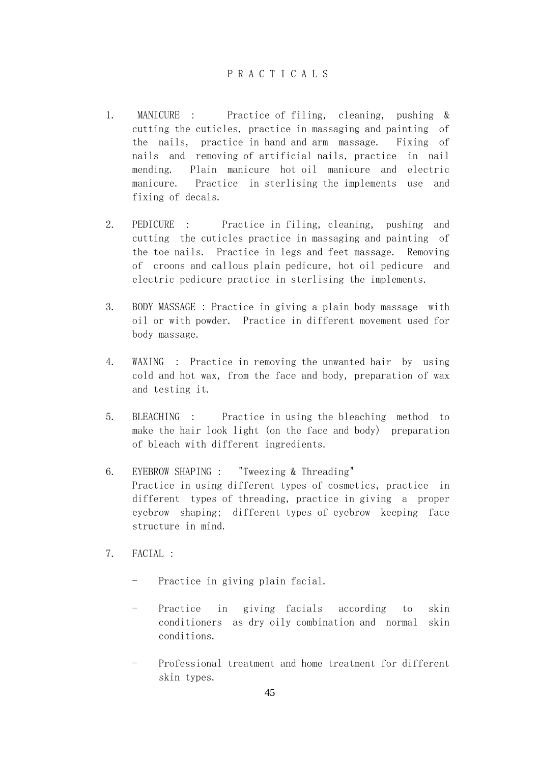# P R A C T I C A L S

- 1. MANICURE : Practice of filing, cleaning, pushing & cutting the cuticles, practice in massaging and painting of the nails, practice in hand and arm massage. Fixing of nails and removing of artificial nails, practice in nail mending. Plain manicure hot oil manicure and electric manicure. Practice in sterlising the implements use and fixing of decals.
- 2. PEDICURE : Practice in filing, cleaning, pushing and cutting the cuticles practice in massaging and painting of the toe nails. Practice in legs and feet massage. Removing of croons and callous plain pedicure, hot oil pedicure and electric pedicure practice in sterlising the implements.
- 3. BODY MASSAGE : Practice in giving a plain body massage with oil or with powder. Practice in different movement used for body massage.
- 4. WAXING : Practice in removing the unwanted hair by using cold and hot wax, from the face and body, preparation of wax and testing it.
- 5. BLEACHING : Practice in using the bleaching method to make the hair look light (on the face and body) preparation of bleach with different ingredients.
- 6. EYEBROW SHAPING : "Tweezing & Threading" Practice in using different types of cosmetics, practice in different types of threading, practice in giving a proper eyebrow shaping; different types of eyebrow keeping face structure in mind.
- 7. FACIAL :
	- Practice in giving plain facial.
	- Practice in giving facials according to skin conditioners as dry oily combination and normal skin conditions.
	- Professional treatment and home treatment for different skin types.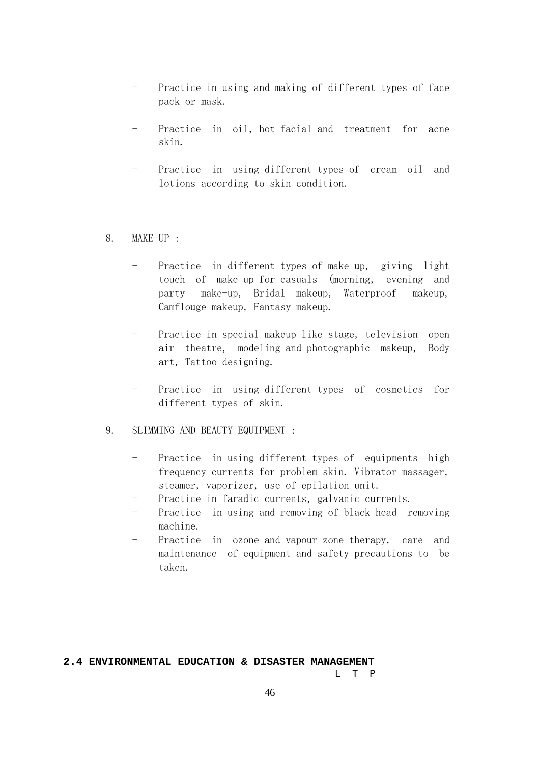- Practice in using and making of different types of face pack or mask.
- Practice in oil, hot facial and treatment for acne skin.
- Practice in using different types of cream oil and lotions according to skin condition.
- 8. MAKE-UP :
	- Practice in different types of make up, giving light touch of make up for casuals (morning, evening and party make-up, Bridal makeup, Waterproof makeup, Camflouge makeup, Fantasy makeup.
	- Practice in special makeup like stage, television open air theatre, modeling and photographic makeup, Body art, Tattoo designing.
	- Practice in using different types of cosmetics for different types of skin.
- 9. SLIMMING AND BEAUTY EQUIPMENT :
	- Practice in using different types of equipments high frequency currents for problem skin. Vibrator massager, steamer, vaporizer, use of epilation unit.
	- Practice in faradic currents, galvanic currents.
	- Practice in using and removing of black head removing machine.
	- Practice in ozone and vapour zone therapy, care and maintenance of equipment and safety precautions to be taken.

## **2.4 ENVIRONMENTAL EDUCATION & DISASTER MANAGEMENT**

L T P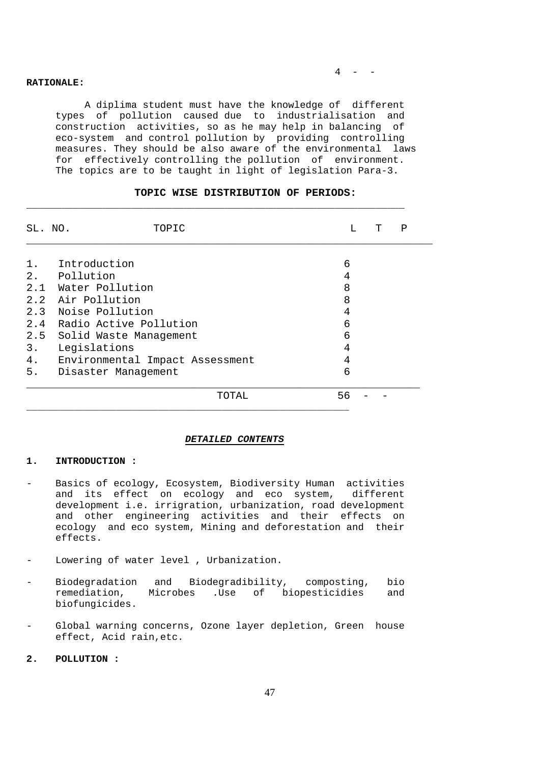#### **RATIONALE:**

 A diplima student must have the knowledge of different types of pollution caused due to industrialisation and construction activities, so as he may help in balancing of eco-system and control pollution by providing controlling measures. They should be also aware of the environmental laws for effectively controlling the pollution of environment. The topics are to be taught in light of legislation Para-3.

| SL. NO. | TOPIC                           |    | Т | Ρ |
|---------|---------------------------------|----|---|---|
|         |                                 |    |   |   |
| $1$ .   | Introduction                    | 6  |   |   |
|         | 2. Pollution                    | 4  |   |   |
|         | 2.1 Water Pollution             | 8  |   |   |
|         | 2.2 Air Pollution               | 8  |   |   |
|         | 2.3 Noise Pollution             | 4  |   |   |
|         | 2.4 Radio Active Pollution      | 6  |   |   |
| 2.5     | Solid Waste Management          | 6  |   |   |
| $3$ .   | Legislations                    | 4  |   |   |
| 4.      | Environmental Impact Assessment | 4  |   |   |
| 5.      | Disaster Management             | 6  |   |   |
|         | TOTAL                           | 56 |   |   |

## **TOPIC WISE DISTRIBUTION OF PERIODS:**

\_\_\_\_\_\_\_\_\_\_\_\_\_\_\_\_\_\_\_\_\_\_\_\_\_\_\_\_\_\_\_\_\_\_\_\_\_\_\_\_\_\_\_\_\_\_\_\_\_\_\_\_\_\_\_\_\_\_\_\_\_\_\_\_\_

#### *DETAILED CONTENTS*

#### **1. INTRODUCTION :**

- Basics of ecology, Ecosystem, Biodiversity Human activities and its effect on ecology and eco system, different development i.e. irrigration, urbanization, road development and other engineering activities and their effects on ecology and eco system, Mining and deforestation and their effects.
- Lowering of water level, Urbanization.
- Biodegradation and Biodegradibility, composting, bio<br>remediation, Microbes .Use of biopesticidies and Microbes .Use of biopesticidies and biofungicides.
- Global warning concerns, Ozone layer depletion, Green house effect, Acid rain,etc.
- **2. POLLUTION :**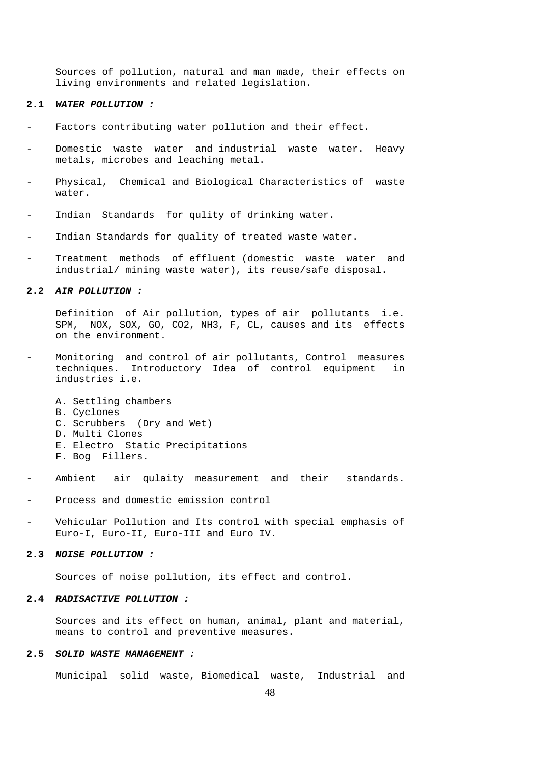Sources of pollution, natural and man made, their effects on living environments and related legislation.

#### **2.1** *WATER POLLUTION :*

- Factors contributing water pollution and their effect.
- Domestic waste water and industrial waste water. Heavy metals, microbes and leaching metal.
- Physical, Chemical and Biological Characteristics of waste water.
- Indian Standards for qulity of drinking water.
- Indian Standards for quality of treated waste water.
- Treatment methods of effluent (domestic waste water and industrial/ mining waste water), its reuse/safe disposal.

#### **2.2** *AIR POLLUTION :*

 Definition of Air pollution, types of air pollutants i.e. SPM, NOX, SOX, GO, CO2, NH3, F, CL, causes and its effects on the environment.

- Monitoring and control of air pollutants, Control measures techniques. Introductory Idea of control equipment in industries i.e.
	- A. Settling chambers
	- B. Cyclones
	- C. Scrubbers (Dry and Wet)
	- D. Multi Clones
	- E. Electro Static Precipitations
	- F. Bog Fillers.
- Ambient air qulaity measurement and their standards.
- Process and domestic emission control
- Vehicular Pollution and Its control with special emphasis of Euro-I, Euro-II, Euro-III and Euro IV.

#### **2.3** *NOISE POLLUTION :*

Sources of noise pollution, its effect and control.

#### **2.4** *RADISACTIVE POLLUTION :*

 Sources and its effect on human, animal, plant and material, means to control and preventive measures.

#### **2.5** *SOLID WASTE MANAGEMENT :*

Municipal solid waste, Biomedical waste, Industrial and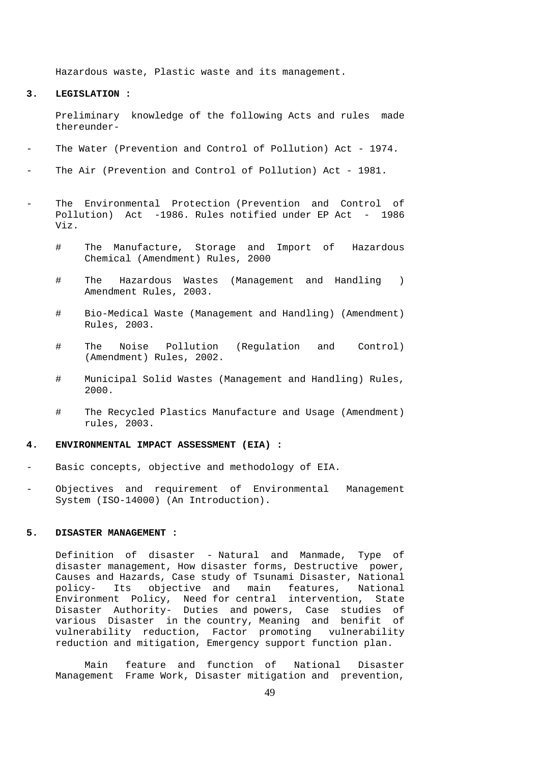Hazardous waste, Plastic waste and its management.

**3. LEGISLATION :** 

 Preliminary knowledge of the following Acts and rules made thereunder-

- The Water (Prevention and Control of Pollution) Act 1974.
- The Air (Prevention and Control of Pollution) Act 1981.
- The Environmental Protection (Prevention and Control of Pollution) Act -1986. Rules notified under EP Act - 1986 Viz.
	- # The Manufacture, Storage and Import of Hazardous Chemical (Amendment) Rules, 2000
	- # The Hazardous Wastes (Management and Handling ) Amendment Rules, 2003.
	- # Bio-Medical Waste (Management and Handling) (Amendment) Rules, 2003.
	- # The Noise Pollution (Regulation and Control) (Amendment) Rules, 2002.
	- # Municipal Solid Wastes (Management and Handling) Rules, 2000.
	- # The Recycled Plastics Manufacture and Usage (Amendment) rules, 2003.

#### **4. ENVIRONMENTAL IMPACT ASSESSMENT (EIA) :**

- Basic concepts, objective and methodology of EIA.
- Objectives and requirement of Environmental Management System (ISO-14000) (An Introduction).

## **5. DISASTER MANAGEMENT :**

 Definition of disaster - Natural and Manmade, Type of disaster management, How disaster forms, Destructive power, Causes and Hazards, Case study of Tsunami Disaster, National policy- Its objective and main features, National Environment Policy, Need for central intervention, State Disaster Authority- Duties and powers, Case studies of various Disaster in the country, Meaning and benifit of vulnerability reduction, Factor promoting vulnerability reduction and mitigation, Emergency support function plan.

 Main feature and function of National Disaster Management Frame Work, Disaster mitigation and prevention,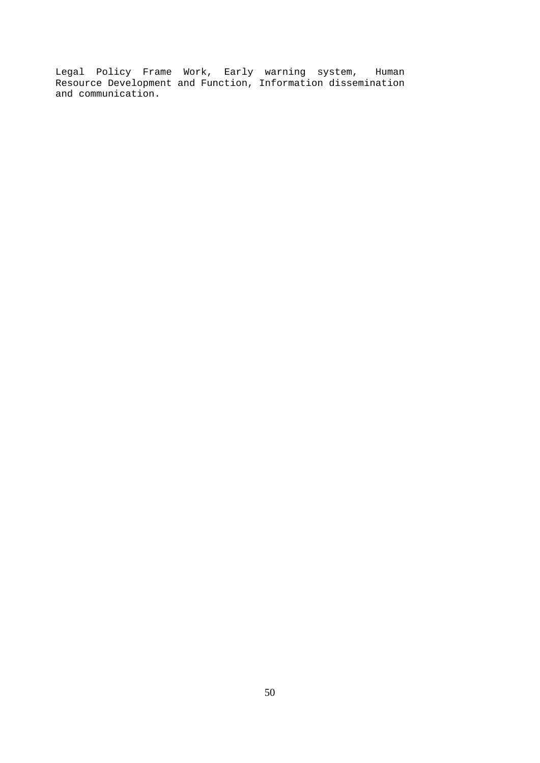Legal Policy Frame Work, Early warning system, Human Resource Development and Function, Information dissemination and communication.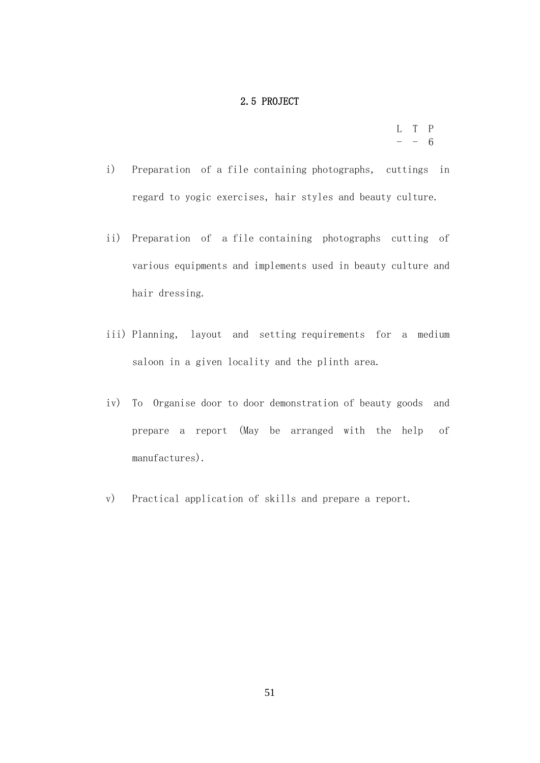## 2.5 PROJECT

 L T P  $- - 6$ 

- i) Preparation of a file containing photographs, cuttings in regard to yogic exercises, hair styles and beauty culture.
- ii) Preparation of a file containing photographs cutting of various equipments and implements used in beauty culture and hair dressing.
- iii) Planning, layout and setting requirements for a medium saloon in a given locality and the plinth area.
- iv) To Organise door to door demonstration of beauty goods and prepare a report (May be arranged with the help of manufactures).
- v) Practical application of skills and prepare a report.

51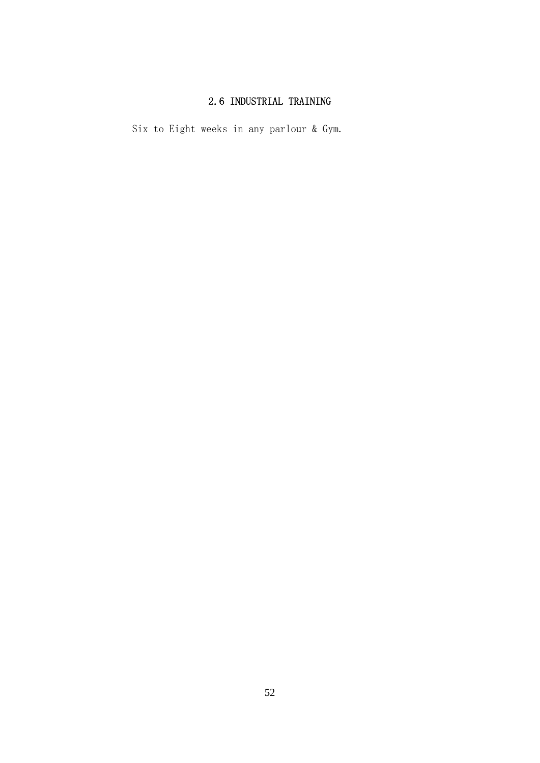# 2.6 INDUSTRIAL TRAINING

Six to Eight weeks in any parlour & Gym.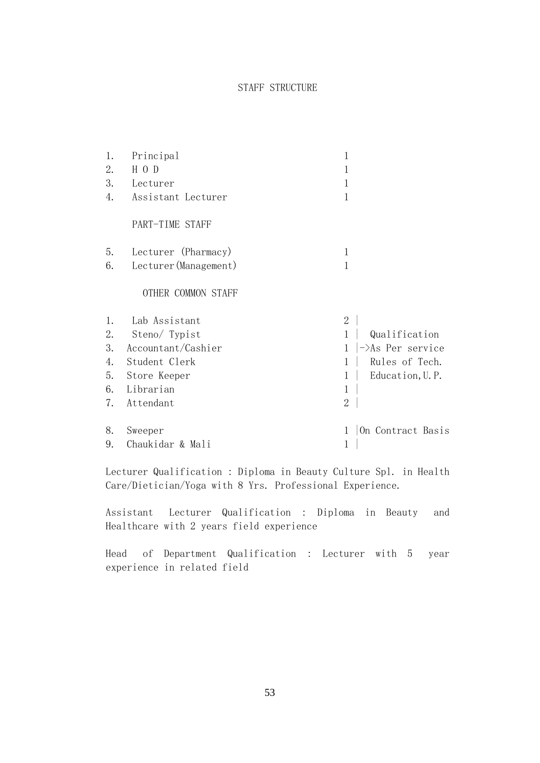# STAFF STRUCTURE

| 1. | Principal             |                |                              |
|----|-----------------------|----------------|------------------------------|
| 2. | H O D                 |                |                              |
| 3. | Lecturer              |                |                              |
| 4. | Assistant Lecturer    | 1              |                              |
|    | PART-TIME STAFF       |                |                              |
| 5. | Lecturer (Pharmacy)   | 1              |                              |
| 6. | Lecturer (Management) | 1              |                              |
|    | OTHER COMMON STAFF    |                |                              |
| 1. | Lab Assistant         | $\mathbf{2}$   |                              |
| 2. | Steno/ Typist         | $\mathbf{1}$   | Qualification                |
| 3. | Accountant/Cashier    |                | $\rightarrow$ As Per service |
| 4. | Student Clerk         | 1              | Rules of Tech.               |
| 5. | Store Keeper          | 1              | Education, U.P.              |
| 6. | Librarian             | $\mathbf 1$    |                              |
| 7. | Attendant             | $\overline{2}$ |                              |
| 8. | Sweeper               |                | On Contract Basis            |
| 9. | Chaukidar & Mali      | 1              |                              |

 Lecturer Qualification : Diploma in Beauty Culture Spl. in Health Care/Dietician/Yoga with 8 Yrs. Professional Experience.

 Assistant Lecturer Qualification : Diploma in Beauty and Healthcare with 2 years field experience

 Head of Department Qualification : Lecturer with 5 year experience in related field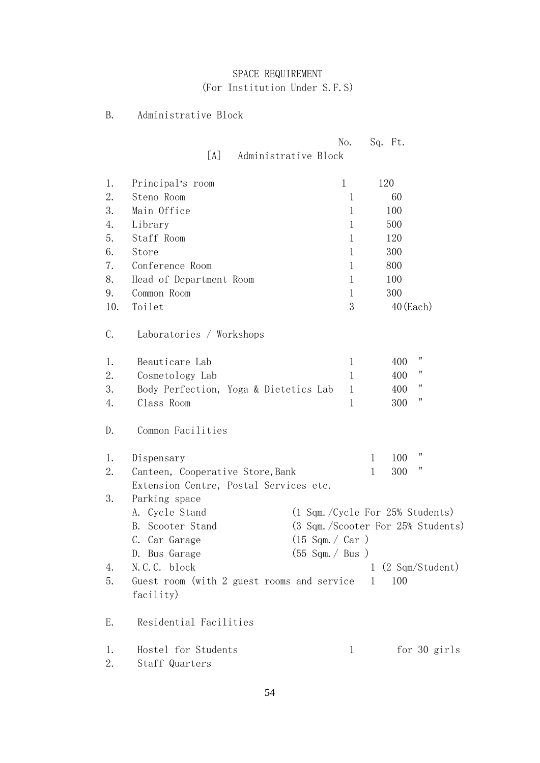# SPACE REQUIREMENT (For Institution Under S.F.S)

# B. Administrative Block

|     |                                                         | No.                              | Sq. Ft.                            |  |
|-----|---------------------------------------------------------|----------------------------------|------------------------------------|--|
|     | [A]<br>Administrative Block                             |                                  |                                    |  |
| 1.  | Principal's room                                        | $\mathbf 1$                      | 120                                |  |
| 2.  | Steno Room                                              | 1                                | 60                                 |  |
| 3.  | Main Office                                             | 1                                | 100                                |  |
| 4.  | Library                                                 | 1                                | 500                                |  |
| 5.  | Staff Room                                              | 1                                | 120                                |  |
| 6.  | Store                                                   | 1                                | 300                                |  |
| 7.  | Conference Room                                         | 1                                | 800                                |  |
| 8.  | Head of Department Room                                 | 1                                | 100                                |  |
| 9.  | Common Room                                             | 1                                | 300                                |  |
| 10. | Toilet                                                  | 3                                | $40$ (Each)                        |  |
| C.  | Laboratories / Workshops                                |                                  |                                    |  |
| 1.  | Beauticare Lab                                          | 1                                | 11<br>400                          |  |
| 2.  | Cosmetology Lab                                         | 1                                | 11<br>400                          |  |
| 3.  | Body Perfection, Yoga & Dietetics Lab                   | $\mathbf{1}$                     | 11<br>400                          |  |
| 4.  | Class Room                                              | 1                                | 11<br>300                          |  |
| D.  | Common Facilities                                       |                                  |                                    |  |
| 1.  | Dispensary                                              |                                  | Ħ<br>100<br>1                      |  |
| 2.  | Canteen, Cooperative Store, Bank                        |                                  | 11<br>$\mathbf 1$<br>300           |  |
|     | Extension Centre, Postal Services etc.                  |                                  |                                    |  |
| 3.  | Parking space                                           |                                  |                                    |  |
|     | A. Cycle Stand                                          |                                  | (1 Sqm./Cycle For 25% Students)    |  |
|     | Scooter Stand<br>B.                                     |                                  | (3 Sqm. /Scooter For 25% Students) |  |
|     | C. Car Garage                                           | $(15 \text{ Sgm.} / \text{Car})$ |                                    |  |
|     | D. Bus Garage                                           | $(55$ Sqm. $/$ Bus $)$           |                                    |  |
| 4.  | N.C.C. block                                            |                                  | $1$ (2 Sqm/Student)                |  |
| 5.  | Guest room (with 2 guest rooms and service<br>facility) |                                  | 100<br>1                           |  |
| Ε.  | Residential Facilities                                  |                                  |                                    |  |
| 1.  | Hostel for Students                                     | $\mathbf 1$                      | for 30 girls                       |  |
| 2.  | Staff Quarters                                          |                                  |                                    |  |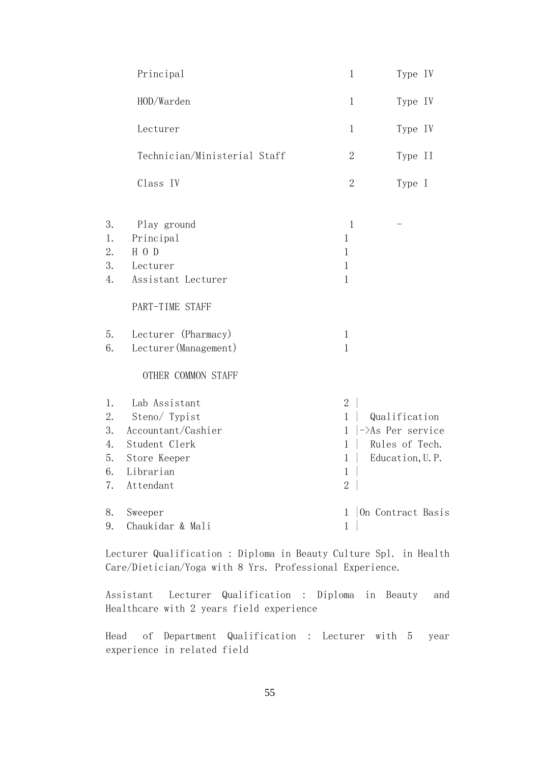|    | Principal                    | $\mathbf{1}$   | Type IV                  |
|----|------------------------------|----------------|--------------------------|
|    | HOD/Warden                   | $\mathbf{1}$   | Type IV                  |
|    | Lecturer                     | $\mathbf{1}$   | Type IV                  |
|    | Technician/Ministerial Staff | $\mathbf{2}$   | Type II                  |
|    | Class IV                     | $\sqrt{2}$     | Type I                   |
| 3. | Play ground                  | $\mathbf{1}$   |                          |
| 1. | Principal                    | 1              |                          |
| 2. | $H$ O D                      | $\mathbf 1$    |                          |
| 3. | Lecturer                     | $\mathbf 1$    |                          |
| 4. | Assistant Lecturer           | $\mathbf{1}$   |                          |
|    | PART-TIME STAFF              |                |                          |
| 5. | Lecturer (Pharmacy)          | $\mathbf{1}$   |                          |
| 6. | Lecturer (Management)        | $\mathbf{1}$   |                          |
|    | OTHER COMMON STAFF           |                |                          |
| 1. | Lab Assistant                | $\overline{2}$ |                          |
| 2. | Steno/ Typist                | $\mathbf{1}$   | Qualification            |
| 3. | Accountant/Cashier           | $\mathbf{1}$   | $-\lambda$ s Per service |
| 4. | Student Clerk                | $\mathbf 1$    | Rules of Tech.           |
| 5. | Store Keeper                 | 1              | Education, U.P.          |
| 6. | Librarian                    | $\,1$          |                          |
| 7. | Attendant                    | $\overline{2}$ |                          |
| 8. | Sweeper                      | 1              | On Contract Basis        |
| 9. | Chaukidar & Mali             | $\mathbf{1}$   |                          |
|    |                              |                |                          |

 Lecturer Qualification : Diploma in Beauty Culture Spl. in Health Care/Dietician/Yoga with 8 Yrs. Professional Experience.

 Assistant Lecturer Qualification : Diploma in Beauty and Healthcare with 2 years field experience

 Head of Department Qualification : Lecturer with 5 year experience in related field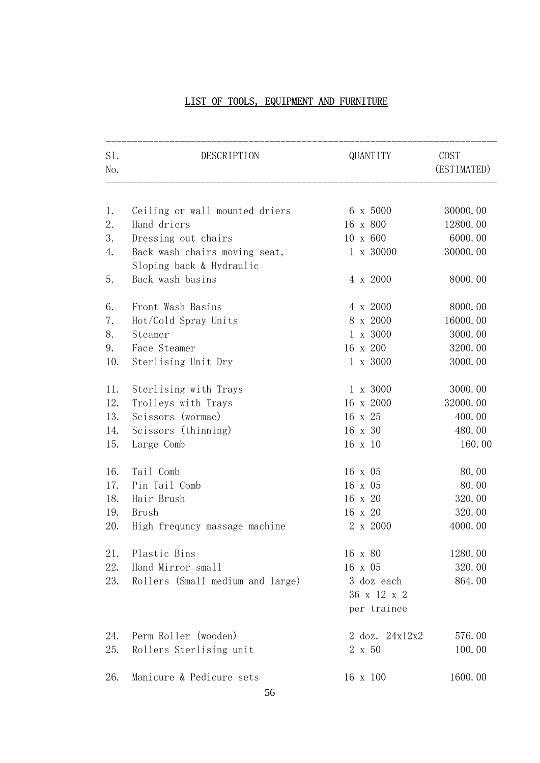# LIST OF TOOLS, EQUIPMENT AND FURNITURE

| S1.<br>No. | DESCRIPTION                                               | QUANTITY                                 | COST<br>(ESTIMATED) |
|------------|-----------------------------------------------------------|------------------------------------------|---------------------|
|            |                                                           |                                          |                     |
| 1.         | Ceiling or wall mounted driers                            | 6 x 5000                                 | 30000.00            |
| 2.         | Hand driers                                               | 16 x 800                                 | 12800.00            |
| 3.         | Dressing out chairs                                       | 10 x 600                                 | 6000.00             |
| 4.         | Back wash chairs moving seat,<br>Sloping back & Hydraulic | 1 x 30000                                | 30000.00            |
| 5.         | Back wash basins                                          | 4 x 2000                                 | 8000.00             |
| 6.         | Front Wash Basins                                         | 4 x 2000                                 | 8000.00             |
| 7.         | Hot/Cold Spray Units                                      | 8 x 2000                                 | 16000.00            |
| 8.         | Steamer                                                   | 1 x 3000                                 | 3000.00             |
| 9.         | Face Steamer                                              | 16 x 200                                 | 3200.00             |
| 10.        | Sterlising Unit Dry                                       | 1 x 3000                                 | 3000.00             |
| 11.        | Sterlising with Trays                                     | 1 x 3000                                 | 3000.00             |
| 12.        | Trolleys with Trays                                       | 16 x 2000                                | 32000.00            |
| 13.        | Scissors (wormac)                                         | 16 x 25                                  | 400.00              |
| 14.        | Scissors (thinning)                                       | 16 x 30                                  | 480.00              |
| 15.        | Large Comb                                                | 16 x 10                                  | 160.00              |
| 16.        | Tail Comb                                                 | 16 x 05                                  | 80.00               |
| 17.        | Pin Tail Comb                                             | 16 x 05                                  | 80.00               |
| 18.        | Hair Brush                                                | 16 x 20                                  | 320.00              |
| 19.        | Brush                                                     | 16 x 20                                  | 320.00              |
| 20.        | High frequncy massage machine                             | 2 x 2000                                 | 4000.00             |
| 21.        | Plastic Bins                                              | 16 x 80                                  | 1280.00             |
| 22.        | Hand Mirror small                                         | 16 x 05                                  | 320.00              |
| 23.        | Rollers (Small medium and large)                          | 3 doz each<br>36 x 12 x 2<br>per trainee | 864.00              |
|            |                                                           |                                          |                     |
| 24.        | Perm Roller (wooden)                                      | 2 doz. 24x12x2                           | 576.00              |
| 25.        | Rollers Sterlising unit                                   | 2 x 50                                   | 100.00              |
| 26.        | Manicure & Pedicure sets                                  | 16 x 100                                 | 1600.00             |
|            |                                                           |                                          |                     |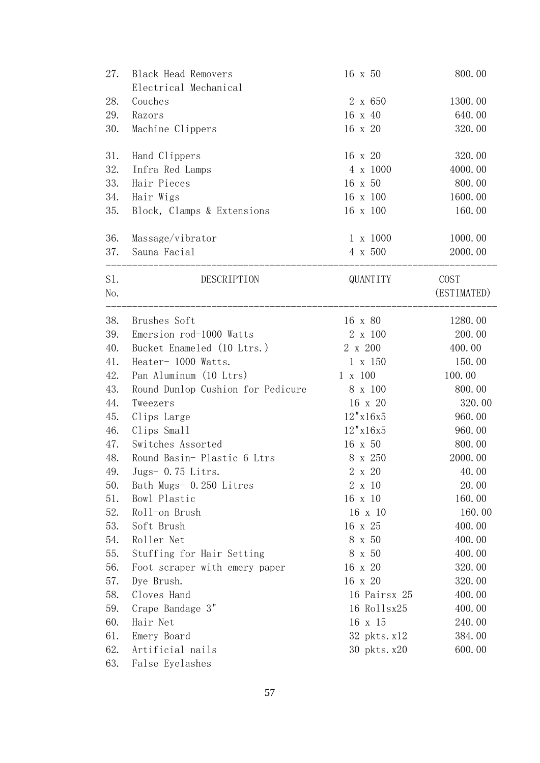| 27. | <b>Black Head Removers</b>        | 16 x 50         | 800.00      |
|-----|-----------------------------------|-----------------|-------------|
| 28. | Electrical Mechanical<br>Couches  | 2 x 650         | 1300.00     |
| 29. | Razors                            | 16 x 40         | 640.00      |
| 30. | Machine Clippers                  | 16 x 20         | 320.00      |
|     |                                   |                 |             |
| 31. | Hand Clippers                     | 16 x 20         | 320.00      |
| 32. | Infra Red Lamps                   | 4 x 1000        | 4000.00     |
| 33. | Hair Pieces                       | 16 x 50         | 800.00      |
| 34. | Hair Wigs                         | 16 x 100        | 1600.00     |
| 35. | Block, Clamps & Extensions        | 16 x 100        | 160.00      |
| 36. | Massage/vibrator                  | 1 x 1000        | 1000.00     |
| 37. | Sauna Facial                      | 4 x 500         | 2000.00     |
|     |                                   |                 |             |
| S1. | DESCRIPTION                       | QUANTITY        | COST        |
| No. |                                   |                 | (ESTIMATED) |
| 38. | Brushes Soft                      | 16 x 80         | 1280.00     |
| 39. | Emersion rod-1000 Watts           | 2 x 100         | 200.00      |
| 40. | Bucket Enameled (10 Ltrs.)        | 2 x 200         | 400.00      |
| 41. | Heater- 1000 Watts.               | $1 \times 150$  | 150.00      |
| 42. | Pan Aluminum (10 Ltrs)            | $1 \times 100$  | 100.00      |
| 43. | Round Dunlop Cushion for Pedicure | 8 x 100         | 800.00      |
| 44. | Tweezers                          | 16 x 20         | 320.00      |
| 45. | Clips Large                       | 12"x16x5        | 960.00      |
| 46. | Clips Small                       | $12$ " x $16x5$ | 960.00      |
| 47. | Switches Assorted                 | 16 x 50         | 800.00      |
| 48. | Round Basin-Plastic 6 Ltrs        | 8 x 250         | 2000.00     |
| 49. | Jugs- $0.75$ Litrs.               | 2 x 20          | 40.00       |
| 50. | Bath Mugs- 0.250 Litres           | 2 x 10          | 20.00       |
| 51. | Bowl Plastic                      | 16 x 10         | 160.00      |
| 52. | Roll-on Brush                     | 16 x 10         | 160.00      |
| 53. | Soft Brush                        | 16 x 25         | 400.00      |
| 54. | Roller Net                        | 8 x 50          | 400.00      |
| 55. | Stuffing for Hair Setting         | 8 x 50          | 400.00      |
| 56. | Foot scraper with emery paper     | 16 x 20         | 320.00      |
| 57. | Dye Brush.                        | 16 x 20         | 320.00      |
| 58. | Cloves Hand                       | 16 Pairsx 25    | 400.00      |
| 59. | Crape Bandage 3"                  | 16 Rollsx25     | 400.00      |
| 60. | Hair Net                          | 16 x 15         | 240.00      |
| 61. | Emery Board                       | 32 pkts. x12    | 384.00      |
| 62. | Artificial nails                  | 30 pkts. x20    | 600.00      |
| 63. | False Eyelashes                   |                 |             |
|     |                                   |                 |             |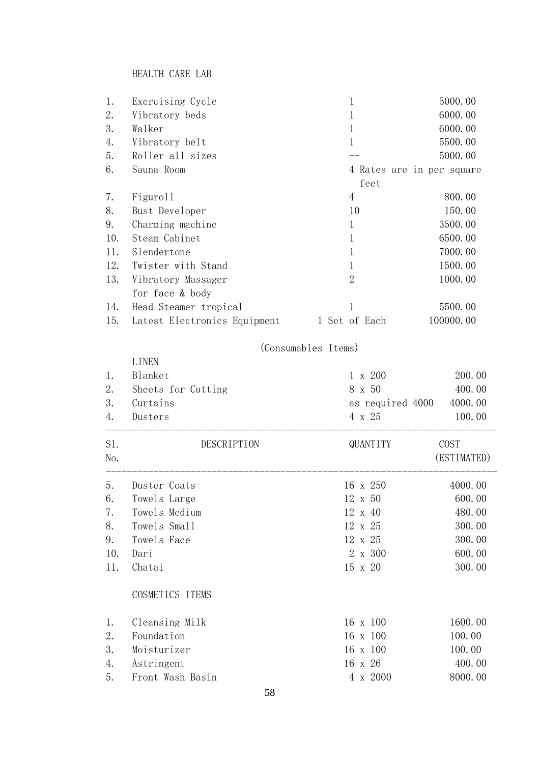HEALTH CARE LAB

| 1.  | Exercising Cycle             |                     | 1              | 5000.00                   |
|-----|------------------------------|---------------------|----------------|---------------------------|
| 2.  | Vibratory beds               |                     |                | 6000.00                   |
| 3.  | Walker                       |                     | 1              | 6000.00                   |
| 4.  | Vibratory belt               |                     | 1              | 5500.00                   |
| 5.  | Roller all sizes             |                     |                | 5000.00                   |
| 6.  | Sauna Room                   |                     |                | 4 Rates are in per square |
|     |                              |                     | feet           |                           |
| 7.  | Figuroll                     |                     | $\overline{4}$ | 800.00                    |
| 8.  | Bust Developer               |                     | 10             | 150.00                    |
| 9.  | Charming machine             |                     | 1              | 3500.00                   |
| 10. | Steam Cabinet                |                     | 1              | 6500.00                   |
| 11. | Slendertone                  |                     |                | 7000.00                   |
| 12. | Twister with Stand           |                     | 1              | 1500.00                   |
| 13. | Vibratory Massager           |                     | 2              | 1000.00                   |
|     | for face & body              |                     |                |                           |
| 14. | Head Steamer tropical        |                     | 1              | 5500.00                   |
| 15. | Latest Electronics Equipment |                     | 1 Set of Each  | 100000.00                 |
|     |                              | (Consumables Items) |                |                           |
|     | <b>LINEN</b>                 |                     |                |                           |

| 1.  | Blanket            | $1 \times 200$   | 200.00      |
|-----|--------------------|------------------|-------------|
| 2.  | Sheets for Cutting | 8 x 50           | 400.00      |
| 3.  | Curtains           | as required 4000 | 4000.00     |
| 4.  | Dusters            | 4 x 25           | 100.00      |
| S1. | DESCRIPTION        | QUANTITY         | COST        |
| No. |                    |                  | (ESTIMATED) |
| 5.  | Duster Coats       | 16 x 250         | 4000.00     |
| 6.  | Towels Large       | 12 x 50          | 600.00      |
| 7.  | Towels Medium      | 12 x 40          | 480.00      |
| 8.  | Towels Small       | 12 x 25          | 300.00      |
| 9.  | Towels Face        | 12 x 25          | 300.00      |
| 10. | Dari               | 2 x 300          | 600.00      |
| 11. | Chatai             | 15 x 20          | 300.00      |
|     | COSMETICS ITEMS    |                  |             |
| 1.  | Cleansing Milk     | 16 x 100         | 1600.00     |
| 2.  | Foundation         | 16 x 100         | 100.00      |
| 3.  | Moisturizer        | 16 x 100         | 100.00      |
| 4.  | Astringent         | 16 x 26          | 400.00      |
| 5.  | Front Wash Basin   | 4 x 2000         | 8000.00     |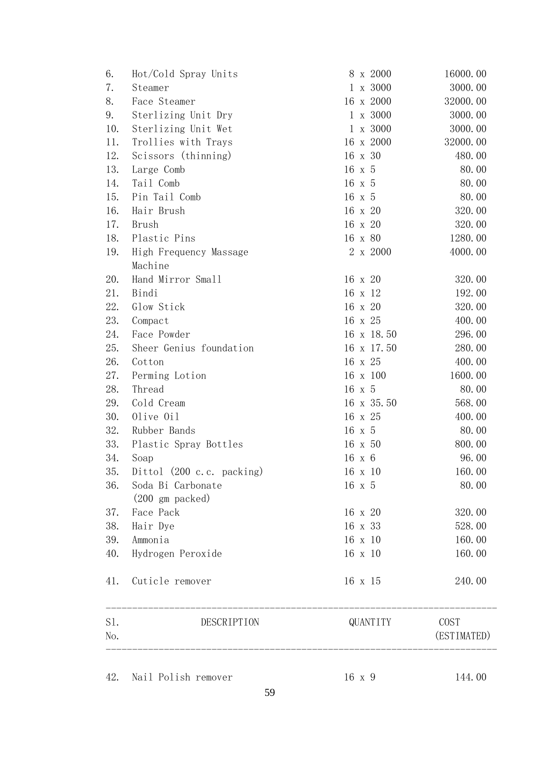| 6.  | Hot/Cold Spray Units      |                | 8 x 2000   | 16000.00    |       |
|-----|---------------------------|----------------|------------|-------------|-------|
| 7.  | Steamer                   |                | 1 x 3000   | 3000.00     |       |
| 8.  | Face Steamer              |                | 16 x 2000  | 32000.00    |       |
| 9.  | Sterlizing Unit Dry       |                | 1 x 3000   | 3000.00     |       |
| 10. | Sterlizing Unit Wet       |                | 1 x 3000   | 3000.00     |       |
| 11. | Trollies with Trays       |                | 16 x 2000  | 32000.00    |       |
| 12. | Scissors (thinning)       | 16 x 30        |            | 480.00      |       |
| 13. | Large Comb                | 16 x 5         |            |             | 80.00 |
| 14. | Tail Comb                 | $16 \times 5$  |            |             | 80.00 |
| 15. | Pin Tail Comb             | 16 x 5         |            |             | 80.00 |
| 16. | Hair Brush                | 16 x 20        |            | 320.00      |       |
| 17. | Brush                     | 16 x 20        |            | 320.00      |       |
| 18. | Plastic Pins              | 16 x 80        |            | 1280.00     |       |
| 19. | High Frequency Massage    |                | 2 x 2000   | 4000.00     |       |
|     | Machine                   |                |            |             |       |
| 20. | Hand Mirror Small         | 16 x 20        |            | 320.00      |       |
| 21. | Bindi                     | 16 x 12        |            | 192.00      |       |
| 22. | Glow Stick                | 16 x 20        |            | 320.00      |       |
| 23. | Compact                   | 16 x 25        |            | 400.00      |       |
| 24. | Face Powder               |                | 16 x 18.50 | 296.00      |       |
| 25. | Sheer Genius foundation   |                | 16 x 17.50 | 280.00      |       |
| 26. | Cotton                    | 16 x 25        |            | 400.00      |       |
| 27. | Perming Lotion            |                | 16 x 100   | 1600.00     |       |
| 28. | Thread                    | $16 \times 5$  |            |             | 80.00 |
| 29. | Cold Cream                |                | 16 x 35.50 | 568.00      |       |
| 30. | Olive Oil                 | 16 x 25        |            | 400.00      |       |
| 32. | Rubber Bands              | 16 x 5         |            |             | 80.00 |
| 33. | Plastic Spray Bottles     | 16 x 50        |            | 800.00      |       |
| 34. | Soap                      | 16 x 6         |            |             | 96.00 |
| 35. | Dittol (200 c.c. packing) | $16 \times 10$ |            | 160.00      |       |
| 36. | Soda Bi Carbonate         | 16 x 5         |            | 80.00       |       |
|     | $(200 \text{ gm packed})$ |                |            |             |       |
| 37. | Face Pack                 | 16 x 20        |            | 320.00      |       |
| 38. | Hair Dye                  | 16 x 33        |            | 528.00      |       |
| 39. | Ammonia                   | 16 x 10        |            | 160.00      |       |
| 40. | Hydrogen Peroxide         | 16 x 10        |            | 160.00      |       |
| 41. | Cuticle remover           | 16 x 15        |            | 240.00      |       |
| S1. | DESCRIPTION               |                | QUANTITY   | COST        |       |
| No. |                           |                |            | (ESTIMATED) |       |
|     |                           |                |            |             |       |
| 42. | Nail Polish remover       | 16 x 9         |            | 144.00      |       |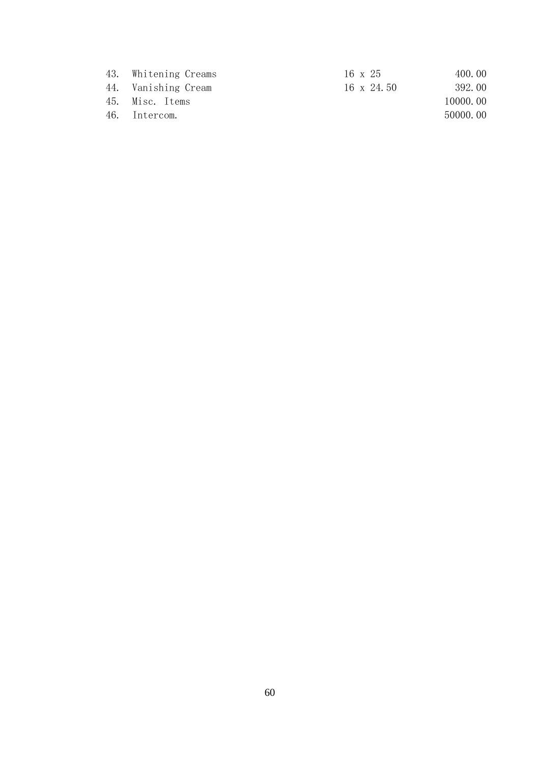| 400.00<br>16 x 25    | Whitening Creams<br>43. |
|----------------------|-------------------------|
| 392.00<br>16 x 24.50 | 44. Vanishing Cream     |
| 10000.00             | 45. Misc. Items         |
| 50000.00             | Intercom.<br>46.        |
|                      |                         |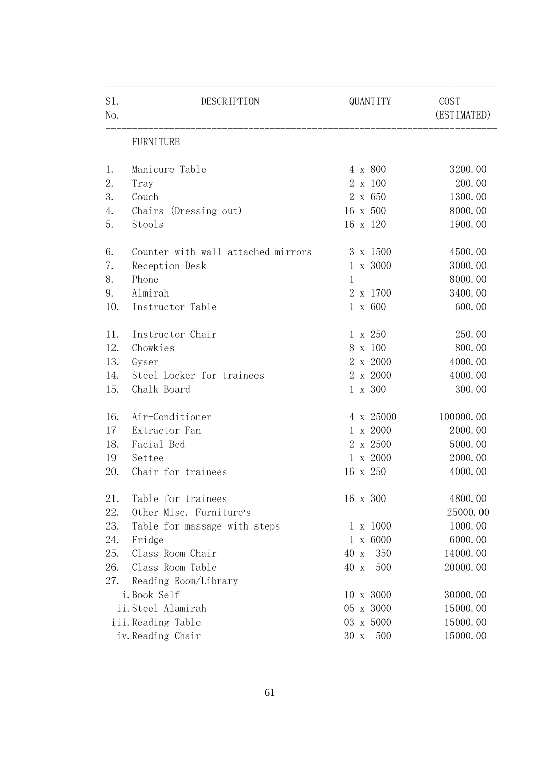| S1.<br>No. | DESCRIPTION                        |             | QUANTITY        | COST<br>(ESTIMATED) |
|------------|------------------------------------|-------------|-----------------|---------------------|
|            | <b>FURNITURE</b>                   |             |                 |                     |
| 1.         | Manicure Table                     |             | 4 x 800         | 3200.00             |
| 2.         | Tray                               |             | 2 x 100         | 200.00              |
| 3.         | Couch                              |             | 2 x 650         | 1300.00             |
| 4.         | Chairs (Dressing out)              |             | 16 x 500        | 8000.00             |
| 5.         | Stools                             |             | 16 x 120        | 1900.00             |
| 6.         | Counter with wall attached mirrors |             | 3 x 1500        | 4500.00             |
| 7.         | Reception Desk                     |             | 1 x 3000        | 3000.00             |
| 8.         | Phone                              | $\mathbf 1$ |                 | 8000.00             |
| 9.         | Almirah                            |             | 2 x 1700        | 3400.00             |
| 10.        | Instructor Table                   |             | $1 \times 600$  | 600.00              |
| 11.        | Instructor Chair                   |             | 1 x 250         | 250.00              |
| 12.        | Chowkies                           |             | 8 x 100         | 800.00              |
| 13.        | Gyser                              |             | 2 x 2000        | 4000.00             |
| 14.        | Steel Locker for trainees          |             | 2 x 2000        | 4000.00             |
| 15.        | Chalk Board                        |             | 1 x 300         | 300.00              |
| 16.        | Air-Conditioner                    |             | 4 x 25000       | 100000.00           |
| 17         | Extractor Fan                      |             | 1 x 2000        | 2000.00             |
| 18.        | Facial Bed                         |             | 2 x 2500        | 5000.00             |
| 19         | Settee                             |             | 1 x 2000        | 2000.00             |
| 20.        | Chair for trainees                 |             | 16 x 250        | 4000.00             |
| 21.        | Table for trainees                 |             | 16 x 300        | 4800.00             |
| 22.        | Other Misc. Furniture's            |             |                 | 25000.00            |
| 23.        | Table for massage with steps       |             | $1 \times 1000$ | 1000.00             |
| 24.        | Fridge                             |             | $1 \times 6000$ | 6000.00             |
| 25.        | Class Room Chair                   | 40 x        | 350             | 14000.00            |
| 26.        | Class Room Table                   | 40 x        | 500             | 20000.00            |
| 27.        | Reading Room/Library               |             |                 |                     |
|            | i. Book Self                       |             | 10 x 3000       | 30000.00            |
|            | ii.Steel Alamirah                  |             | 05 x 3000       | 15000.00            |
|            | iii.Reading Table                  |             | 03 x 5000       | 15000.00            |
|            | iv. Reading Chair                  | 30 x        | 500             | 15000.00            |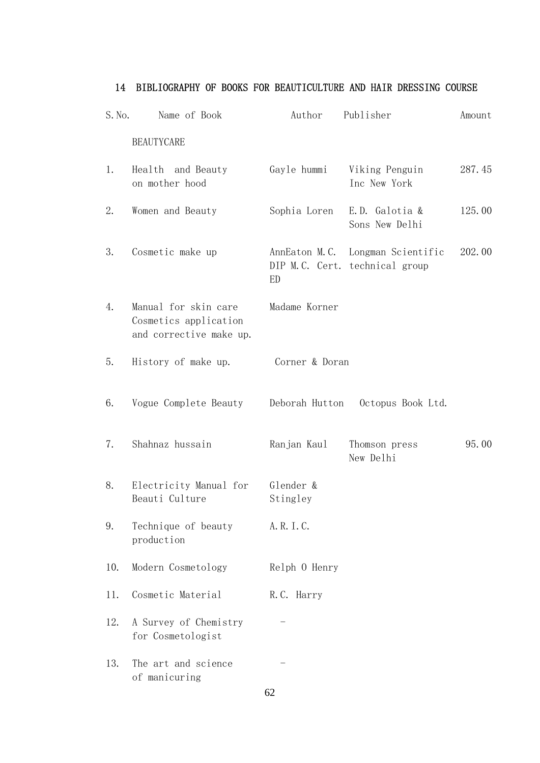# 14 BIBLIOGRAPHY OF BOOKS FOR BEAUTICULTURE AND HAIR DRESSING COURSE

| S. No. | Name of Book                                                             | Author                | Publisher                                                          | Amount |
|--------|--------------------------------------------------------------------------|-----------------------|--------------------------------------------------------------------|--------|
|        | <b>BEAUTYCARE</b>                                                        |                       |                                                                    |        |
| 1.     | Health and Beauty<br>on mother hood                                      | Gayle hummi           | Viking Penguin<br>Inc New York                                     | 287.45 |
| 2.     | Women and Beauty                                                         | Sophia Loren          | E.D. Galotia &<br>Sons New Delhi                                   | 125.00 |
| 3.     | Cosmetic make up                                                         | ED                    | AnnEaton M.C. Longman Scientific<br>DIP M.C. Cert. technical group | 202.00 |
| 4.     | Manual for skin care<br>Cosmetics application<br>and corrective make up. | Madame Korner         |                                                                    |        |
| 5.     | History of make up.                                                      | Corner & Doran        |                                                                    |        |
| 6.     | Vogue Complete Beauty                                                    | Deborah Hutton        | Octopus Book Ltd.                                                  |        |
| 7.     | Shahnaz hussain                                                          | Ranjan Kaul           | Thomson press<br>New Delhi                                         | 95.00  |
| 8.     | Electricity Manual for<br>Beauti Culture                                 | Glender &<br>Stingley |                                                                    |        |
| 9.     | Technique of beauty<br>production                                        | A. R. I. C.           |                                                                    |        |
| 10.    | Modern Cosmetology                                                       | Relph 0 Henry         |                                                                    |        |
| 11.    | Cosmetic Material                                                        | R.C. Harry            |                                                                    |        |
| 12.    | A Survey of Chemistry<br>for Cosmetologist                               |                       |                                                                    |        |
| 13.    | The art and science<br>of manicuring                                     | 62                    |                                                                    |        |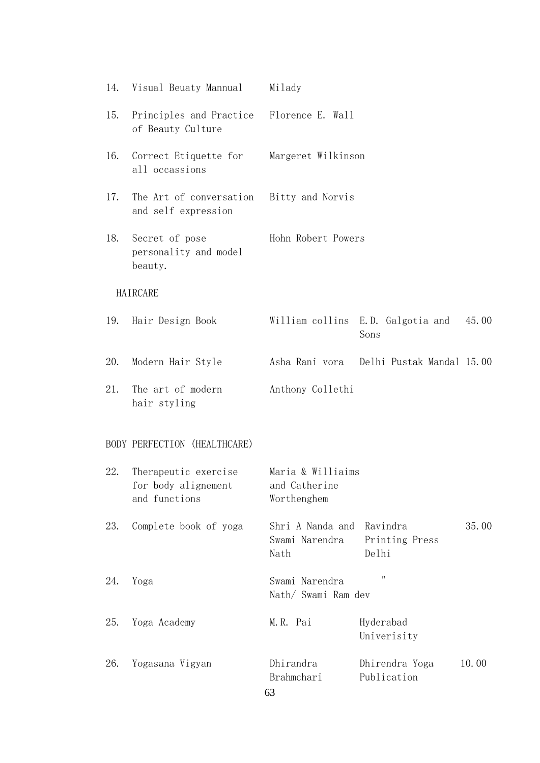| 14. | Visual Beuaty Mannual                                        | Milady                                            |                                           |       |
|-----|--------------------------------------------------------------|---------------------------------------------------|-------------------------------------------|-------|
| 15. | Principles and Practice<br>of Beauty Culture                 | Florence E. Wall                                  |                                           |       |
| 16. | Correct Etiquette for<br>all occassions                      | Margeret Wilkinson                                |                                           |       |
| 17. | The Art of conversation<br>and self expression               | Bitty and Norvis                                  |                                           |       |
| 18. | Secret of pose<br>personality and model<br>beauty.           | Hohn Robert Powers                                |                                           |       |
|     | HAIRCARE                                                     |                                                   |                                           |       |
| 19. | Hair Design Book                                             |                                                   | William collins E.D. Galgotia and<br>Sons | 45.00 |
| 20. | Modern Hair Style                                            | Asha Rani vora                                    | Delhi Pustak Mandal 15.00                 |       |
| 21. | The art of modern<br>hair styling                            | Anthony Collethi                                  |                                           |       |
|     | BODY PERFECTION (HEALTHCARE)                                 |                                                   |                                           |       |
| 22. | Therapeutic exercise<br>for body alignement<br>and functions | Maria & Williaims<br>and Catherine<br>Worthenghem |                                           |       |
| 23. | Complete book of yoga                                        | Shri A Nanda and<br>Swami Narendra<br>Nath        | Ravindra<br>Printing Press<br>Delhi       | 35.00 |
| 24. | Yoga                                                         | Swami Narendra<br>Nath/ Swami Ram dev             | 11                                        |       |
| 25. | Yoga Academy                                                 | M.R. Pai                                          | Hyderabad<br>Univerisity                  |       |
| 26. | Yogasana Vigyan                                              | Dhirandra<br>Brahmchari<br>63                     | Dhirendra Yoga<br>Publication             | 10.00 |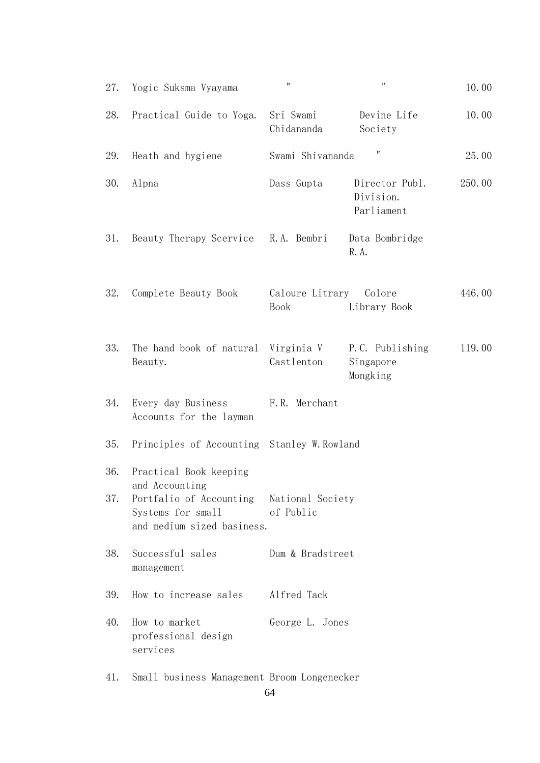| 27.        | Yogic Suksma Vyayama                                                                                                                    | $\pmb{\mathsf{H}}$             | 11                                        | 10.00  |
|------------|-----------------------------------------------------------------------------------------------------------------------------------------|--------------------------------|-------------------------------------------|--------|
| 28.        | Practical Guide to Yoga.                                                                                                                | Sri Swami<br>Chidananda        | Devine Life<br>Society                    | 10.00  |
| 29.        | Heath and hygiene                                                                                                                       | Swami Shivananda               |                                           | 25.00  |
| 30.        | Alpna                                                                                                                                   | Dass Gupta                     | Director Publ.<br>Division.<br>Parliament | 250.00 |
| 31.        | Beauty Therapy Scervice                                                                                                                 | R.A. Bembri                    | Data Bombridge<br>R. A.                   |        |
| 32.        | Complete Beauty Book                                                                                                                    | Caloure Litrary<br><b>Book</b> | Colore<br>Library Book                    | 446.00 |
| 33.        | The hand book of natural<br>Beauty.                                                                                                     | Virginia V<br>Castlenton       | P.C. Publishing<br>Singapore<br>Mongking  | 119.00 |
| 34.        | Every day Business<br>Accounts for the layman                                                                                           | F.R. Merchant                  |                                           |        |
| 35.        | Principles of Accounting Stanley W. Rowland                                                                                             |                                |                                           |        |
| 36.<br>37. | Practical Book keeping<br>and Accounting<br>Portfalio of Accounting National Society<br>Systems for small<br>and medium sized basiness. | of Public                      |                                           |        |
| 38.        | Successful sales<br>management                                                                                                          | Dum & Bradstreet               |                                           |        |
| 39.        | How to increase sales                                                                                                                   | Alfred Tack                    |                                           |        |
| 40.        | How to market<br>professional design<br>services                                                                                        | George L. Jones                |                                           |        |
| 41.        | Small business Management Broom Longenecker                                                                                             |                                |                                           |        |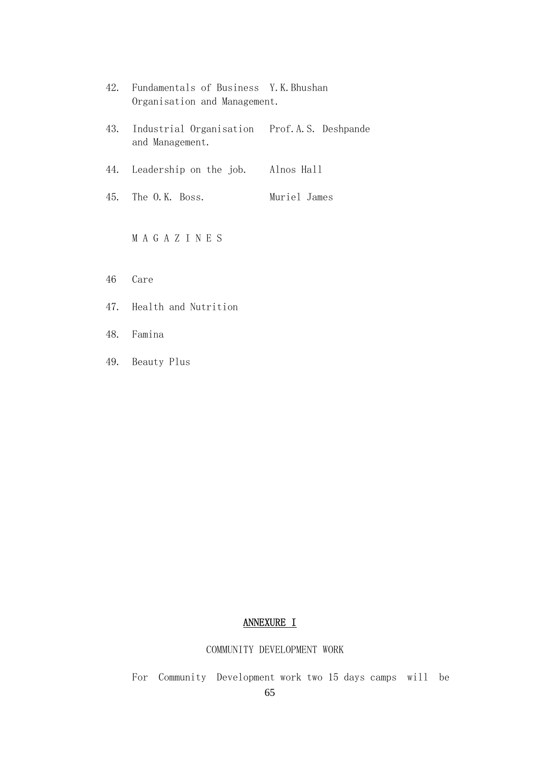| 42. | Fundamentals of Business Y.K.Bhushan<br>Organisation and Management. |              |
|-----|----------------------------------------------------------------------|--------------|
| 43. | Industrial Organisation Prof.A.S. Deshpande<br>and Management.       |              |
| 44. | Leadership on the job.                                               | Alnos Hall   |
| 45. | The O.K. Boss.                                                       | Muriel James |
|     | M A G A Z I N E S                                                    |              |

- 46 Care
- 47. Health and Nutrition
- 48. Famina
- 49. Beauty Plus

# ANNEXURE I

# COMMUNITY DEVELOPMENT WORK

For Community Development work two 15 days camps will be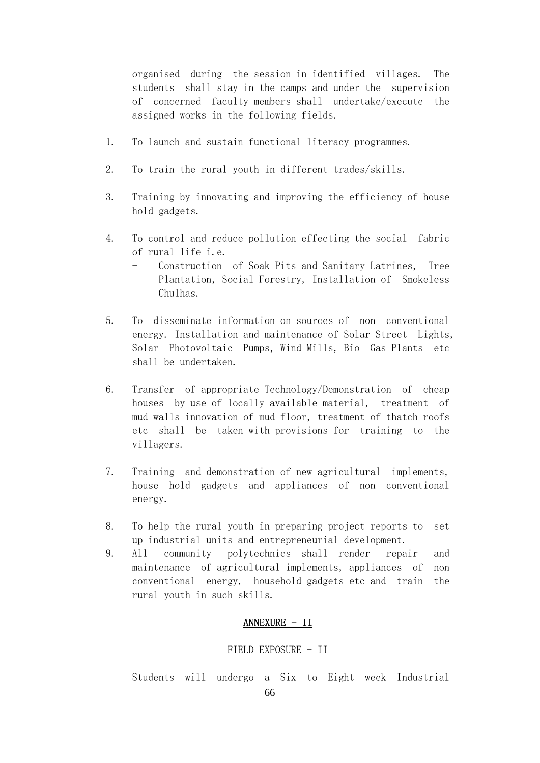organised during the session in identified villages. The students shall stay in the camps and under the supervision of concerned faculty members shall undertake/execute the assigned works in the following fields.

- 1. To launch and sustain functional literacy programmes.
- 2. To train the rural youth in different trades/skills.
- 3. Training by innovating and improving the efficiency of house hold gadgets.
- 4. To control and reduce pollution effecting the social fabric of rural life i.e.
	- Construction of Soak Pits and Sanitary Latrines, Tree Plantation, Social Forestry, Installation of Smokeless Chulhas.
- 5. To disseminate information on sources of non conventional energy. Installation and maintenance of Solar Street Lights, Solar Photovoltaic Pumps, Wind Mills, Bio Gas Plants etc shall be undertaken.
- 6. Transfer of appropriate Technology/Demonstration of cheap houses by use of locally available material, treatment of mud walls innovation of mud floor, treatment of thatch roofs etc shall be taken with provisions for training to the villagers.
- 7. Training and demonstration of new agricultural implements, house hold gadgets and appliances of non conventional energy.
- 8. To help the rural youth in preparing project reports to set up industrial units and entrepreneurial development.
- 9. All community polytechnics shall render repair and maintenance of agricultural implements, appliances of non conventional energy, household gadgets etc and train the rural youth in such skills.

## ANNEXURE - II

## FIELD EXPOSURE - II

Students will undergo a Six to Eight week Industrial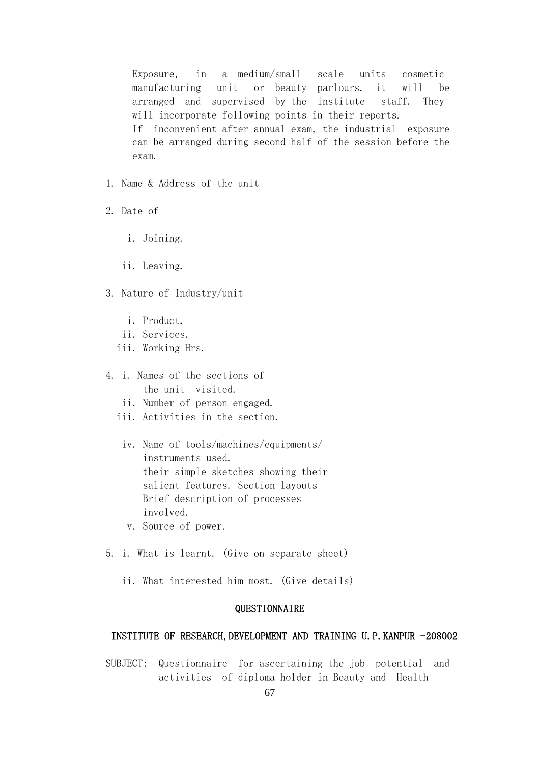Exposure, in a medium/small scale units cosmetic manufacturing unit or beauty parlours. it will be arranged and supervised by the institute staff. They will incorporate following points in their reports. If inconvenient after annual exam, the industrial exposure can be arranged during second half of the session before the exam.

- 1. Name & Address of the unit
- 2. Date of
	- i. Joining.
	- ii. Leaving.
- 3. Nature of Industry/unit
	- i. Product.
	- ii. Services.
	- iii. Working Hrs.
- 4. i. Names of the sections of the unit visited.
	- ii. Number of person engaged.
	- iii. Activities in the section.
	- iv. Name of tools/machines/equipments/ instruments used. their simple sketches showing their salient features. Section layouts Brief description of processes involved.
	- v. Source of power.
- 5. i. What is learnt. (Give on separate sheet)
	- ii. What interested him most. (Give details)

## QUESTIONNAIRE

## INSTITUTE OF RESEARCH, DEVELOPMENT AND TRAINING U.P. KANPUR -208002

 SUBJECT: Questionnaire for ascertaining the job potential and activities of diploma holder in Beauty and Health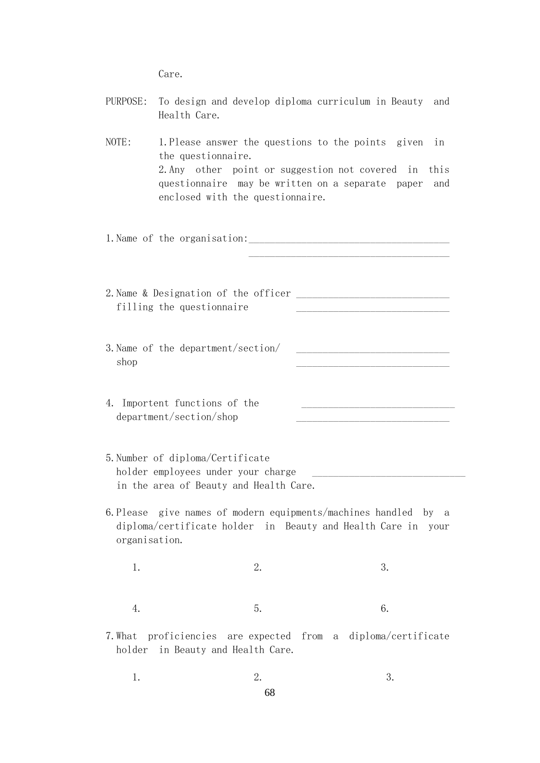Care.

| PURPOSE:          | Health Care.                                             | To design and develop diploma curriculum in Beauty and                                                                                                                                        |                                                    |                   |
|-------------------|----------------------------------------------------------|-----------------------------------------------------------------------------------------------------------------------------------------------------------------------------------------------|----------------------------------------------------|-------------------|
| NOTE:             | the questionnaire.                                       | 1. Please answer the questions to the points given<br>2. Any other point or suggestion not covered in<br>questionnaire may be written on a separate paper<br>enclosed with the questionnaire. |                                                    | in<br>this<br>and |
|                   |                                                          |                                                                                                                                                                                               |                                                    |                   |
|                   | filling the questionnaire                                | 2. Name & Designation of the officer                                                                                                                                                          |                                                    |                   |
| shop              | 3. Name of the department/section/                       |                                                                                                                                                                                               | <u> 1989 - Johann Barbara, martxa alemani</u> ar a |                   |
|                   | 4. Importent functions of the<br>department/section/shop |                                                                                                                                                                                               |                                                    |                   |
|                   | 5. Number of diploma/Certificate                         | holder employees under your charge<br>in the area of Beauty and Health Care.                                                                                                                  |                                                    |                   |
| organisation.     |                                                          | 6. Please give names of modern equipments/machines handled by a<br>diploma/certificate holder in Beauty and Health Care in your                                                               |                                                    |                   |
| 1.                |                                                          | 2.                                                                                                                                                                                            | 3.                                                 |                   |
| 4.                |                                                          | 5.                                                                                                                                                                                            | 6.                                                 |                   |
| 7. What<br>holder |                                                          | proficiencies are expected from a diploma/certificate<br>in Beauty and Health Care.                                                                                                           |                                                    |                   |
| 1.                |                                                          | 2.                                                                                                                                                                                            | 3.                                                 |                   |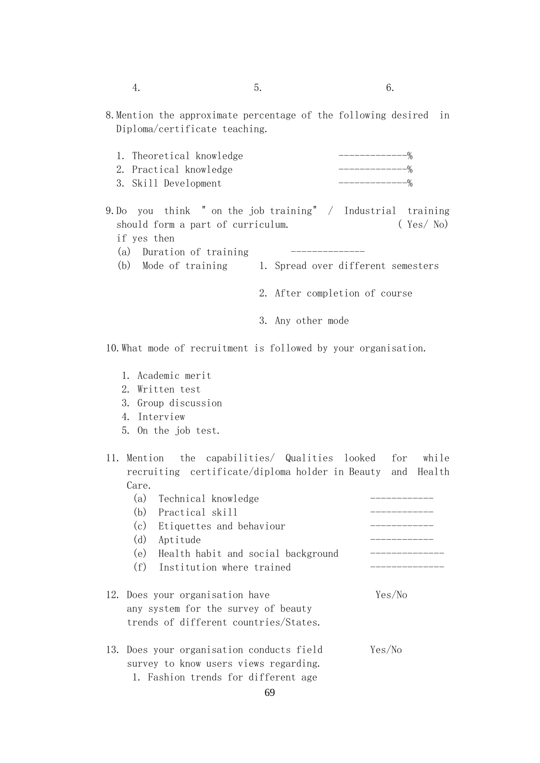8.Mention the approximate percentage of the following desired in Diploma/certificate teaching.

| 1. Theoretical knowledge |  |
|--------------------------|--|
| 2. Practical knowledge   |  |
| 3. Skill Development     |  |

- 9.Do you think " on the job training" / Industrial training should form a part of curriculum. (Yes/ No) if yes then (a) Duration of training  $---$ 
	- (b) Mode of training 1. Spread over different semesters
		- 2. After completion of course
		- 3. Any other mode

10.What mode of recruitment is followed by your organisation.

- 1. Academic merit
- 2. Written test
- 3. Group discussion
- 4. Interview
- 5. On the job test.
- 11. Mention the capabilities/ Qualities looked for while recruiting certificate/diploma holder in Beauty and Health Care.

| Technical knowledge<br>(a)                                                                                                |        |
|---------------------------------------------------------------------------------------------------------------------------|--------|
| (b)<br>Practical skill                                                                                                    |        |
| (c)<br>Etiquettes and behaviour                                                                                           |        |
| (d)<br>Aptitude                                                                                                           |        |
| (e)<br>Health habit and social background                                                                                 |        |
| (f)<br>Institution where trained                                                                                          |        |
| 12. Does your organisation have<br>any system for the survey of beauty<br>trends of different countries/States.           | Yes/No |
| 13. Does your organisation conducts field<br>survey to know users views regarding.<br>1. Fashion trends for different age | Yes/No |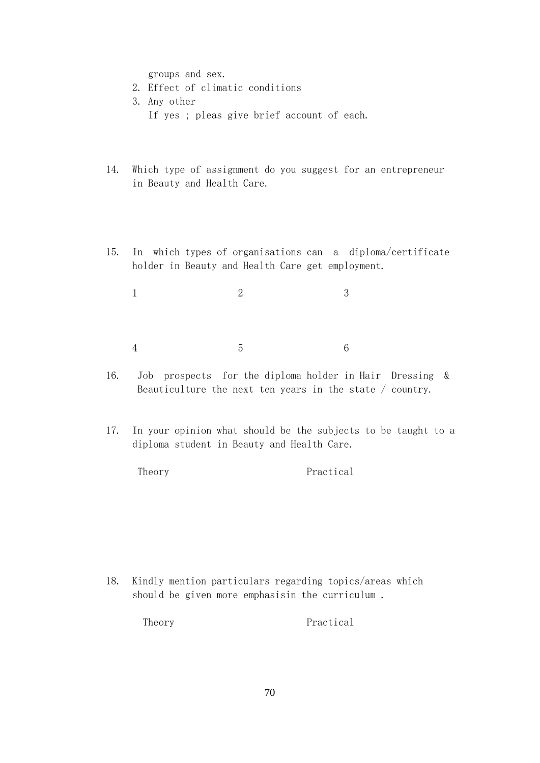groups and sex.

- 2. Effect of climatic conditions
- 3. Any other If yes ; pleas give brief account of each.
- 14. Which type of assignment do you suggest for an entrepreneur in Beauty and Health Care.
- 15. In which types of organisations can a diploma/certificate holder in Beauty and Health Care get employment.

1 2 3 4 5 6

- 16. Job prospects for the diploma holder in Hair Dressing & Beauticulture the next ten years in the state / country.
- 17. In your opinion what should be the subjects to be taught to a diploma student in Beauty and Health Care.

Theory Practical

 18. Kindly mention particulars regarding topics/areas which should be given more emphasisin the curriculum .

Theory Practical